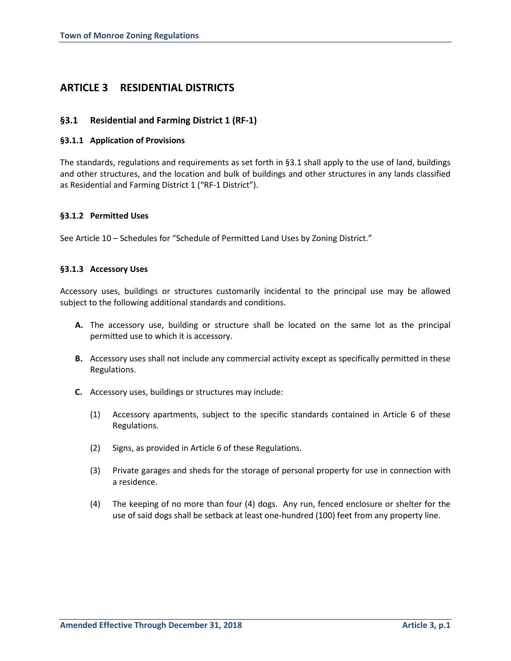# **ARTICLE 3 RESIDENTIAL DISTRICTS**

## **§3.1 Residential and Farming District 1 (RF-1)**

## **§3.1.1 Application of Provisions**

The standards, regulations and requirements as set forth in §3.1 shall apply to the use of land, buildings and other structures, and the location and bulk of buildings and other structures in any lands classified as Residential and Farming District 1 ("RF-1 District").

## **§3.1.2 Permitted Uses**

See Article 10 – Schedules for "Schedule of Permitted Land Uses by Zoning District."

#### **§3.1.3 Accessory Uses**

Accessory uses, buildings or structures customarily incidental to the principal use may be allowed subject to the following additional standards and conditions.

- **A.** The accessory use, building or structure shall be located on the same lot as the principal permitted use to which it is accessory.
- **B.** Accessory uses shall not include any commercial activity except as specifically permitted in these Regulations.
- **C.** Accessory uses, buildings or structures may include:
	- (1) Accessory apartments, subject to the specific standards contained in Article 6 of these Regulations.
	- (2) Signs, as provided in Article 6 of these Regulations.
	- (3) Private garages and sheds for the storage of personal property for use in connection with a residence.
	- (4) The keeping of no more than four (4) dogs. Any run, fenced enclosure or shelter for the use of said dogs shall be setback at least one-hundred (100) feet from any property line.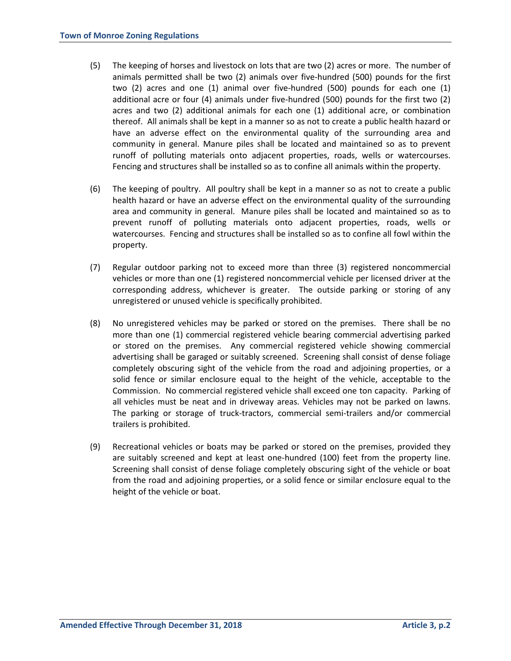- (5) The keeping of horses and livestock on lots that are two (2) acres or more. The number of animals permitted shall be two (2) animals over five-hundred (500) pounds for the first two (2) acres and one (1) animal over five-hundred (500) pounds for each one (1) additional acre or four (4) animals under five-hundred (500) pounds for the first two (2) acres and two (2) additional animals for each one (1) additional acre, or combination thereof. All animals shall be kept in a manner so as not to create a public health hazard or have an adverse effect on the environmental quality of the surrounding area and community in general. Manure piles shall be located and maintained so as to prevent runoff of polluting materials onto adjacent properties, roads, wells or watercourses. Fencing and structures shall be installed so as to confine all animals within the property.
- (6) The keeping of poultry. All poultry shall be kept in a manner so as not to create a public health hazard or have an adverse effect on the environmental quality of the surrounding area and community in general. Manure piles shall be located and maintained so as to prevent runoff of polluting materials onto adjacent properties, roads, wells or watercourses. Fencing and structures shall be installed so as to confine all fowl within the property.
- (7) Regular outdoor parking not to exceed more than three (3) registered noncommercial vehicles or more than one (1) registered noncommercial vehicle per licensed driver at the corresponding address, whichever is greater. The outside parking or storing of any unregistered or unused vehicle is specifically prohibited.
- (8) No unregistered vehicles may be parked or stored on the premises. There shall be no more than one (1) commercial registered vehicle bearing commercial advertising parked or stored on the premises. Any commercial registered vehicle showing commercial advertising shall be garaged or suitably screened. Screening shall consist of dense foliage completely obscuring sight of the vehicle from the road and adjoining properties, or a solid fence or similar enclosure equal to the height of the vehicle, acceptable to the Commission. No commercial registered vehicle shall exceed one ton capacity. Parking of all vehicles must be neat and in driveway areas. Vehicles may not be parked on lawns. The parking or storage of truck-tractors, commercial semi-trailers and/or commercial trailers is prohibited.
- (9) Recreational vehicles or boats may be parked or stored on the premises, provided they are suitably screened and kept at least one-hundred (100) feet from the property line. Screening shall consist of dense foliage completely obscuring sight of the vehicle or boat from the road and adjoining properties, or a solid fence or similar enclosure equal to the height of the vehicle or boat.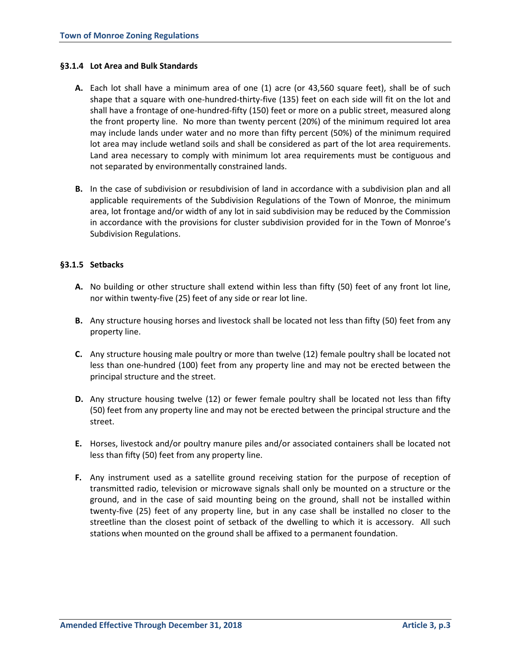### **§3.1.4 Lot Area and Bulk Standards**

- **A.** Each lot shall have a minimum area of one (1) acre (or 43,560 square feet), shall be of such shape that a square with one-hundred-thirty-five (135) feet on each side will fit on the lot and shall have a frontage of one-hundred-fifty (150) feet or more on a public street, measured along the front property line. No more than twenty percent (20%) of the minimum required lot area may include lands under water and no more than fifty percent (50%) of the minimum required lot area may include wetland soils and shall be considered as part of the lot area requirements. Land area necessary to comply with minimum lot area requirements must be contiguous and not separated by environmentally constrained lands.
- **B.** In the case of subdivision or resubdivision of land in accordance with a subdivision plan and all applicable requirements of the Subdivision Regulations of the Town of Monroe, the minimum area, lot frontage and/or width of any lot in said subdivision may be reduced by the Commission in accordance with the provisions for cluster subdivision provided for in the Town of Monroe's Subdivision Regulations.

## **§3.1.5 Setbacks**

- **A.** No building or other structure shall extend within less than fifty (50) feet of any front lot line, nor within twenty-five (25) feet of any side or rear lot line.
- **B.** Any structure housing horses and livestock shall be located not less than fifty (50) feet from any property line.
- **C.** Any structure housing male poultry or more than twelve (12) female poultry shall be located not less than one-hundred (100) feet from any property line and may not be erected between the principal structure and the street.
- **D.** Any structure housing twelve (12) or fewer female poultry shall be located not less than fifty (50) feet from any property line and may not be erected between the principal structure and the street.
- **E.** Horses, livestock and/or poultry manure piles and/or associated containers shall be located not less than fifty (50) feet from any property line.
- **F.** Any instrument used as a satellite ground receiving station for the purpose of reception of transmitted radio, television or microwave signals shall only be mounted on a structure or the ground, and in the case of said mounting being on the ground, shall not be installed within twenty-five (25) feet of any property line, but in any case shall be installed no closer to the streetline than the closest point of setback of the dwelling to which it is accessory. All such stations when mounted on the ground shall be affixed to a permanent foundation.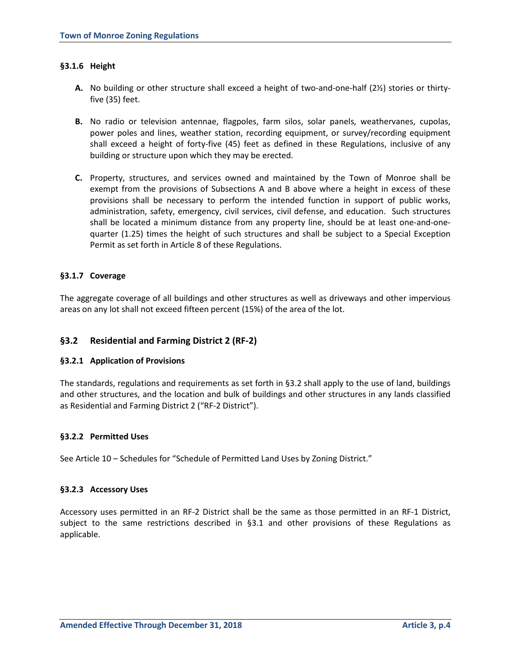## **§3.1.6 Height**

- **A.** No building or other structure shall exceed a height of two-and-one-half (2½) stories or thirtyfive (35) feet.
- **B.** No radio or television antennae, flagpoles, farm silos, solar panels, weathervanes, cupolas, power poles and lines, weather station, recording equipment, or survey/recording equipment shall exceed a height of forty-five (45) feet as defined in these Regulations, inclusive of any building or structure upon which they may be erected.
- **C.** Property, structures, and services owned and maintained by the Town of Monroe shall be exempt from the provisions of Subsections A and B above where a height in excess of these provisions shall be necessary to perform the intended function in support of public works, administration, safety, emergency, civil services, civil defense, and education. Such structures shall be located a minimum distance from any property line, should be at least one-and-onequarter (1.25) times the height of such structures and shall be subject to a Special Exception Permit as set forth in Article 8 of these Regulations.

## **§3.1.7 Coverage**

The aggregate coverage of all buildings and other structures as well as driveways and other impervious areas on any lot shall not exceed fifteen percent (15%) of the area of the lot.

## **§3.2 Residential and Farming District 2 (RF-2)**

#### **§3.2.1 Application of Provisions**

The standards, regulations and requirements as set forth in §3.2 shall apply to the use of land, buildings and other structures, and the location and bulk of buildings and other structures in any lands classified as Residential and Farming District 2 ("RF-2 District").

#### **§3.2.2 Permitted Uses**

See Article 10 – Schedules for "Schedule of Permitted Land Uses by Zoning District."

#### **§3.2.3 Accessory Uses**

Accessory uses permitted in an RF-2 District shall be the same as those permitted in an RF-1 District, subject to the same restrictions described in §3.1 and other provisions of these Regulations as applicable.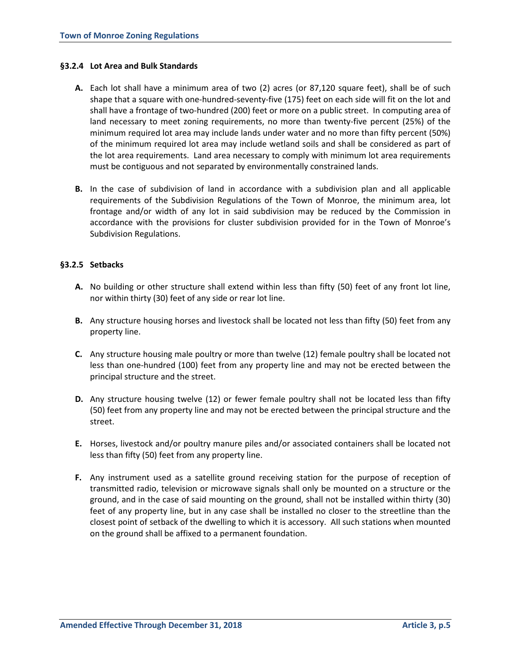## **§3.2.4 Lot Area and Bulk Standards**

- **A.** Each lot shall have a minimum area of two (2) acres (or 87,120 square feet), shall be of such shape that a square with one-hundred-seventy-five (175) feet on each side will fit on the lot and shall have a frontage of two-hundred (200) feet or more on a public street. In computing area of land necessary to meet zoning requirements, no more than twenty-five percent (25%) of the minimum required lot area may include lands under water and no more than fifty percent (50%) of the minimum required lot area may include wetland soils and shall be considered as part of the lot area requirements. Land area necessary to comply with minimum lot area requirements must be contiguous and not separated by environmentally constrained lands.
- **B.** In the case of subdivision of land in accordance with a subdivision plan and all applicable requirements of the Subdivision Regulations of the Town of Monroe, the minimum area, lot frontage and/or width of any lot in said subdivision may be reduced by the Commission in accordance with the provisions for cluster subdivision provided for in the Town of Monroe's Subdivision Regulations.

## **§3.2.5 Setbacks**

- **A.** No building or other structure shall extend within less than fifty (50) feet of any front lot line, nor within thirty (30) feet of any side or rear lot line.
- **B.** Any structure housing horses and livestock shall be located not less than fifty (50) feet from any property line.
- **C.** Any structure housing male poultry or more than twelve (12) female poultry shall be located not less than one-hundred (100) feet from any property line and may not be erected between the principal structure and the street.
- **D.** Any structure housing twelve (12) or fewer female poultry shall not be located less than fifty (50) feet from any property line and may not be erected between the principal structure and the street.
- **E.** Horses, livestock and/or poultry manure piles and/or associated containers shall be located not less than fifty (50) feet from any property line.
- **F.** Any instrument used as a satellite ground receiving station for the purpose of reception of transmitted radio, television or microwave signals shall only be mounted on a structure or the ground, and in the case of said mounting on the ground, shall not be installed within thirty (30) feet of any property line, but in any case shall be installed no closer to the streetline than the closest point of setback of the dwelling to which it is accessory. All such stations when mounted on the ground shall be affixed to a permanent foundation.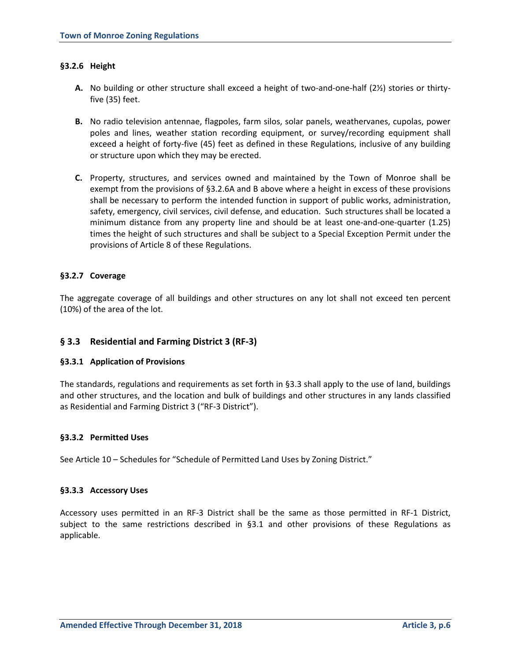## **§3.2.6 Height**

- **A.** No building or other structure shall exceed a height of two-and-one-half (2½) stories or thirtyfive (35) feet.
- **B.** No radio television antennae, flagpoles, farm silos, solar panels, weathervanes, cupolas, power poles and lines, weather station recording equipment, or survey/recording equipment shall exceed a height of forty-five (45) feet as defined in these Regulations, inclusive of any building or structure upon which they may be erected.
- **C.** Property, structures, and services owned and maintained by the Town of Monroe shall be exempt from the provisions of §3.2.6A and B above where a height in excess of these provisions shall be necessary to perform the intended function in support of public works, administration, safety, emergency, civil services, civil defense, and education. Such structures shall be located a minimum distance from any property line and should be at least one-and-one-quarter (1.25) times the height of such structures and shall be subject to a Special Exception Permit under the provisions of Article 8 of these Regulations.

## **§3.2.7 Coverage**

The aggregate coverage of all buildings and other structures on any lot shall not exceed ten percent (10%) of the area of the lot.

## **§ 3.3 Residential and Farming District 3 (RF-3)**

#### **§3.3.1 Application of Provisions**

The standards, regulations and requirements as set forth in §3.3 shall apply to the use of land, buildings and other structures, and the location and bulk of buildings and other structures in any lands classified as Residential and Farming District 3 ("RF-3 District").

#### **§3.3.2 Permitted Uses**

See Article 10 – Schedules for "Schedule of Permitted Land Uses by Zoning District."

#### **§3.3.3 Accessory Uses**

Accessory uses permitted in an RF-3 District shall be the same as those permitted in RF-1 District, subject to the same restrictions described in §3.1 and other provisions of these Regulations as applicable.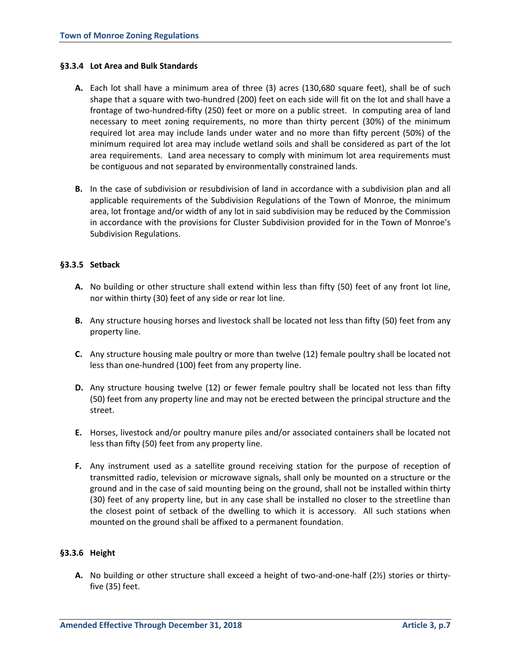### **§3.3.4 Lot Area and Bulk Standards**

- **A.** Each lot shall have a minimum area of three (3) acres (130,680 square feet), shall be of such shape that a square with two-hundred (200) feet on each side will fit on the lot and shall have a frontage of two-hundred-fifty (250) feet or more on a public street. In computing area of land necessary to meet zoning requirements, no more than thirty percent (30%) of the minimum required lot area may include lands under water and no more than fifty percent (50%) of the minimum required lot area may include wetland soils and shall be considered as part of the lot area requirements. Land area necessary to comply with minimum lot area requirements must be contiguous and not separated by environmentally constrained lands.
- **B.** In the case of subdivision or resubdivision of land in accordance with a subdivision plan and all applicable requirements of the Subdivision Regulations of the Town of Monroe, the minimum area, lot frontage and/or width of any lot in said subdivision may be reduced by the Commission in accordance with the provisions for Cluster Subdivision provided for in the Town of Monroe's Subdivision Regulations.

## **§3.3.5 Setback**

- **A.** No building or other structure shall extend within less than fifty (50) feet of any front lot line, nor within thirty (30) feet of any side or rear lot line.
- **B.** Any structure housing horses and livestock shall be located not less than fifty (50) feet from any property line.
- **C.** Any structure housing male poultry or more than twelve (12) female poultry shall be located not less than one-hundred (100) feet from any property line.
- **D.** Any structure housing twelve (12) or fewer female poultry shall be located not less than fifty (50) feet from any property line and may not be erected between the principal structure and the street.
- **E.** Horses, livestock and/or poultry manure piles and/or associated containers shall be located not less than fifty (50) feet from any property line.
- **F.** Any instrument used as a satellite ground receiving station for the purpose of reception of transmitted radio, television or microwave signals, shall only be mounted on a structure or the ground and in the case of said mounting being on the ground, shall not be installed within thirty (30) feet of any property line, but in any case shall be installed no closer to the streetline than the closest point of setback of the dwelling to which it is accessory. All such stations when mounted on the ground shall be affixed to a permanent foundation.

#### **§3.3.6 Height**

**A.** No building or other structure shall exceed a height of two-and-one-half (2½) stories or thirtyfive (35) feet.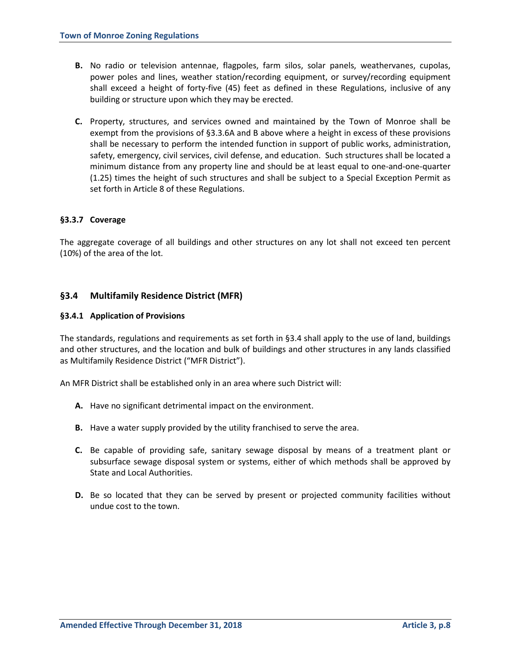- **B.** No radio or television antennae, flagpoles, farm silos, solar panels, weathervanes, cupolas, power poles and lines, weather station/recording equipment, or survey/recording equipment shall exceed a height of forty-five (45) feet as defined in these Regulations, inclusive of any building or structure upon which they may be erected.
- **C.** Property, structures, and services owned and maintained by the Town of Monroe shall be exempt from the provisions of §3.3.6A and B above where a height in excess of these provisions shall be necessary to perform the intended function in support of public works, administration, safety, emergency, civil services, civil defense, and education. Such structures shall be located a minimum distance from any property line and should be at least equal to one-and-one-quarter (1.25) times the height of such structures and shall be subject to a Special Exception Permit as set forth in Article 8 of these Regulations.

## **§3.3.7 Coverage**

The aggregate coverage of all buildings and other structures on any lot shall not exceed ten percent (10%) of the area of the lot.

## **§3.4 Multifamily Residence District (MFR)**

#### **§3.4.1 Application of Provisions**

The standards, regulations and requirements as set forth in §3.4 shall apply to the use of land, buildings and other structures, and the location and bulk of buildings and other structures in any lands classified as Multifamily Residence District ("MFR District").

An MFR District shall be established only in an area where such District will:

- **A.** Have no significant detrimental impact on the environment.
- **B.** Have a water supply provided by the utility franchised to serve the area.
- **C.** Be capable of providing safe, sanitary sewage disposal by means of a treatment plant or subsurface sewage disposal system or systems, either of which methods shall be approved by State and Local Authorities.
- **D.** Be so located that they can be served by present or projected community facilities without undue cost to the town.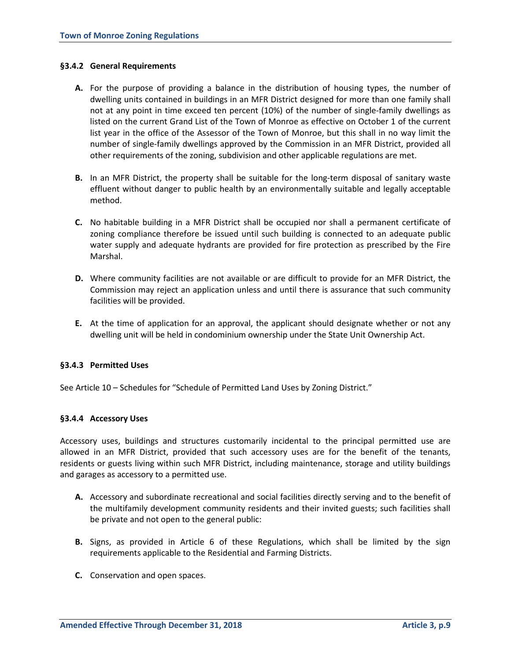### **§3.4.2 General Requirements**

- **A.** For the purpose of providing a balance in the distribution of housing types, the number of dwelling units contained in buildings in an MFR District designed for more than one family shall not at any point in time exceed ten percent (10%) of the number of single-family dwellings as listed on the current Grand List of the Town of Monroe as effective on October 1 of the current list year in the office of the Assessor of the Town of Monroe, but this shall in no way limit the number of single-family dwellings approved by the Commission in an MFR District, provided all other requirements of the zoning, subdivision and other applicable regulations are met.
- **B.** In an MFR District, the property shall be suitable for the long-term disposal of sanitary waste effluent without danger to public health by an environmentally suitable and legally acceptable method.
- **C.** No habitable building in a MFR District shall be occupied nor shall a permanent certificate of zoning compliance therefore be issued until such building is connected to an adequate public water supply and adequate hydrants are provided for fire protection as prescribed by the Fire Marshal.
- **D.** Where community facilities are not available or are difficult to provide for an MFR District, the Commission may reject an application unless and until there is assurance that such community facilities will be provided.
- **E.** At the time of application for an approval, the applicant should designate whether or not any dwelling unit will be held in condominium ownership under the State Unit Ownership Act.

#### **§3.4.3 Permitted Uses**

See Article 10 – Schedules for "Schedule of Permitted Land Uses by Zoning District."

#### **§3.4.4 Accessory Uses**

Accessory uses, buildings and structures customarily incidental to the principal permitted use are allowed in an MFR District, provided that such accessory uses are for the benefit of the tenants, residents or guests living within such MFR District, including maintenance, storage and utility buildings and garages as accessory to a permitted use.

- **A.** Accessory and subordinate recreational and social facilities directly serving and to the benefit of the multifamily development community residents and their invited guests; such facilities shall be private and not open to the general public:
- **B.** Signs, as provided in Article 6 of these Regulations, which shall be limited by the sign requirements applicable to the Residential and Farming Districts.
- **C.** Conservation and open spaces.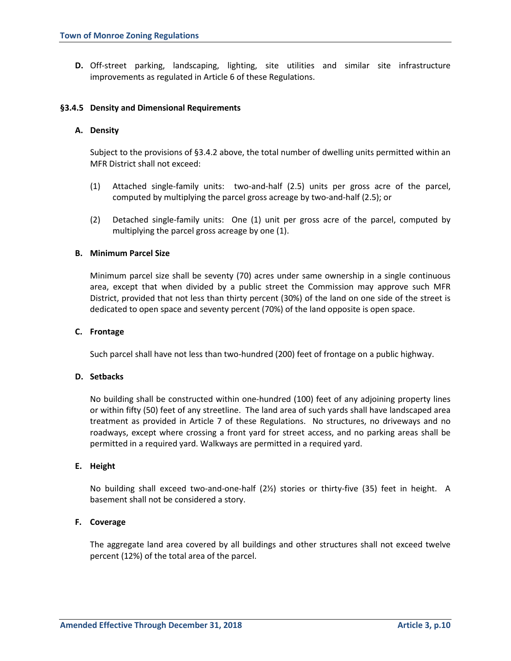**D.** Off-street parking, landscaping, lighting, site utilities and similar site infrastructure improvements as regulated in Article 6 of these Regulations.

#### **§3.4.5 Density and Dimensional Requirements**

### **A. Density**

Subject to the provisions of §3.4.2 above, the total number of dwelling units permitted within an MFR District shall not exceed:

- (1) Attached single-family units: two-and-half (2.5) units per gross acre of the parcel, computed by multiplying the parcel gross acreage by two-and-half (2.5); or
- (2) Detached single-family units: One (1) unit per gross acre of the parcel, computed by multiplying the parcel gross acreage by one (1).

## **B. Minimum Parcel Size**

Minimum parcel size shall be seventy (70) acres under same ownership in a single continuous area, except that when divided by a public street the Commission may approve such MFR District, provided that not less than thirty percent (30%) of the land on one side of the street is dedicated to open space and seventy percent (70%) of the land opposite is open space.

### **C. Frontage**

Such parcel shall have not less than two-hundred (200) feet of frontage on a public highway.

## **D. Setbacks**

No building shall be constructed within one-hundred (100) feet of any adjoining property lines or within fifty (50) feet of any streetline. The land area of such yards shall have landscaped area treatment as provided in Article 7 of these Regulations. No structures, no driveways and no roadways, except where crossing a front yard for street access, and no parking areas shall be permitted in a required yard. Walkways are permitted in a required yard.

#### **E. Height**

No building shall exceed two-and-one-half (2½) stories or thirty-five (35) feet in height. A basement shall not be considered a story.

## **F. Coverage**

The aggregate land area covered by all buildings and other structures shall not exceed twelve percent (12%) of the total area of the parcel.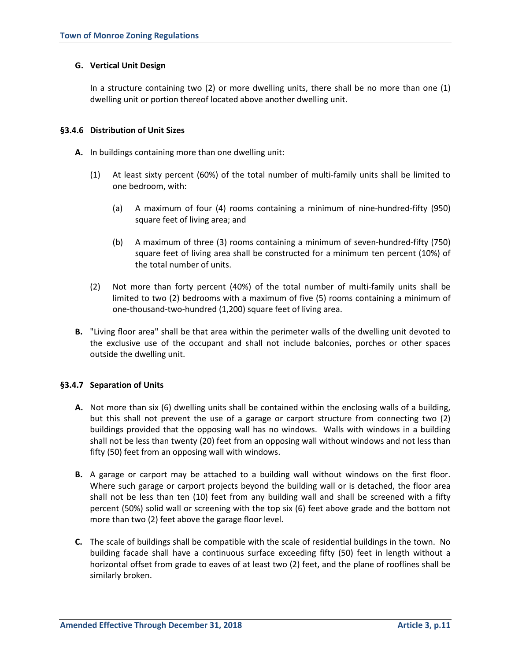## **G. Vertical Unit Design**

In a structure containing two (2) or more dwelling units, there shall be no more than one (1) dwelling unit or portion thereof located above another dwelling unit.

## **§3.4.6 Distribution of Unit Sizes**

- **A.** In buildings containing more than one dwelling unit:
	- (1) At least sixty percent (60%) of the total number of multi-family units shall be limited to one bedroom, with:
		- (a) A maximum of four (4) rooms containing a minimum of nine-hundred-fifty (950) square feet of living area; and
		- (b) A maximum of three (3) rooms containing a minimum of seven-hundred-fifty (750) square feet of living area shall be constructed for a minimum ten percent (10%) of the total number of units.
	- (2) Not more than forty percent (40%) of the total number of multi-family units shall be limited to two (2) bedrooms with a maximum of five (5) rooms containing a minimum of one-thousand-two-hundred (1,200) square feet of living area.
- **B.** "Living floor area" shall be that area within the perimeter walls of the dwelling unit devoted to the exclusive use of the occupant and shall not include balconies, porches or other spaces outside the dwelling unit.

## **§3.4.7 Separation of Units**

- **A.** Not more than six (6) dwelling units shall be contained within the enclosing walls of a building, but this shall not prevent the use of a garage or carport structure from connecting two (2) buildings provided that the opposing wall has no windows. Walls with windows in a building shall not be less than twenty (20) feet from an opposing wall without windows and not less than fifty (50) feet from an opposing wall with windows.
- **B.** A garage or carport may be attached to a building wall without windows on the first floor. Where such garage or carport projects beyond the building wall or is detached, the floor area shall not be less than ten (10) feet from any building wall and shall be screened with a fifty percent (50%) solid wall or screening with the top six (6) feet above grade and the bottom not more than two (2) feet above the garage floor level.
- **C.** The scale of buildings shall be compatible with the scale of residential buildings in the town. No building facade shall have a continuous surface exceeding fifty (50) feet in length without a horizontal offset from grade to eaves of at least two (2) feet, and the plane of rooflines shall be similarly broken.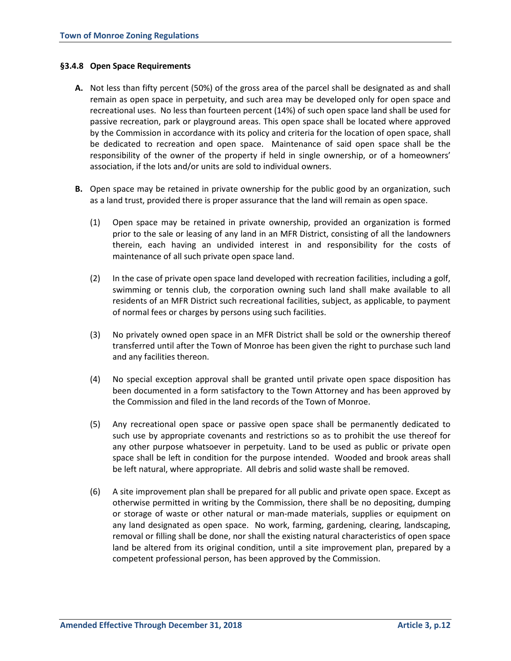### **§3.4.8 Open Space Requirements**

- **A.** Not less than fifty percent (50%) of the gross area of the parcel shall be designated as and shall remain as open space in perpetuity, and such area may be developed only for open space and recreational uses. No less than fourteen percent (14%) of such open space land shall be used for passive recreation, park or playground areas. This open space shall be located where approved by the Commission in accordance with its policy and criteria for the location of open space, shall be dedicated to recreation and open space. Maintenance of said open space shall be the responsibility of the owner of the property if held in single ownership, or of a homeowners' association, if the lots and/or units are sold to individual owners.
- **B.** Open space may be retained in private ownership for the public good by an organization, such as a land trust, provided there is proper assurance that the land will remain as open space.
	- (1) Open space may be retained in private ownership, provided an organization is formed prior to the sale or leasing of any land in an MFR District, consisting of all the landowners therein, each having an undivided interest in and responsibility for the costs of maintenance of all such private open space land.
	- (2) In the case of private open space land developed with recreation facilities, including a golf, swimming or tennis club, the corporation owning such land shall make available to all residents of an MFR District such recreational facilities, subject, as applicable, to payment of normal fees or charges by persons using such facilities.
	- (3) No privately owned open space in an MFR District shall be sold or the ownership thereof transferred until after the Town of Monroe has been given the right to purchase such land and any facilities thereon.
	- (4) No special exception approval shall be granted until private open space disposition has been documented in a form satisfactory to the Town Attorney and has been approved by the Commission and filed in the land records of the Town of Monroe.
	- (5) Any recreational open space or passive open space shall be permanently dedicated to such use by appropriate covenants and restrictions so as to prohibit the use thereof for any other purpose whatsoever in perpetuity. Land to be used as public or private open space shall be left in condition for the purpose intended. Wooded and brook areas shall be left natural, where appropriate. All debris and solid waste shall be removed.
	- (6) A site improvement plan shall be prepared for all public and private open space. Except as otherwise permitted in writing by the Commission, there shall be no depositing, dumping or storage of waste or other natural or man-made materials, supplies or equipment on any land designated as open space. No work, farming, gardening, clearing, landscaping, removal or filling shall be done, nor shall the existing natural characteristics of open space land be altered from its original condition, until a site improvement plan, prepared by a competent professional person, has been approved by the Commission.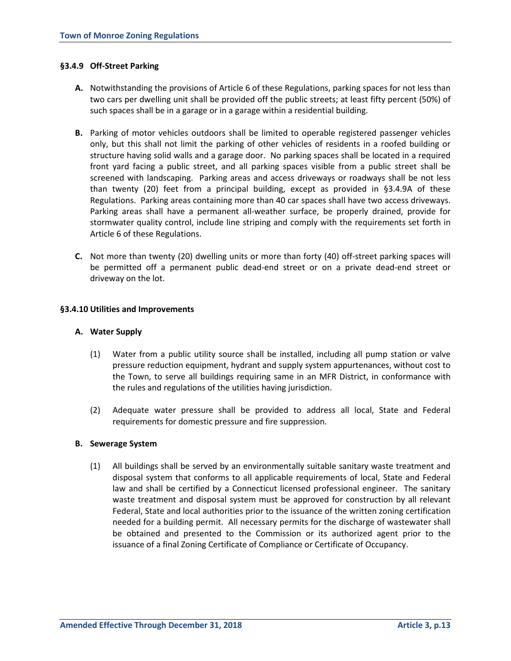## **§3.4.9 Off-Street Parking**

- **A.** Notwithstanding the provisions of Article 6 of these Regulations, parking spaces for not less than two cars per dwelling unit shall be provided off the public streets; at least fifty percent (50%) of such spaces shall be in a garage or in a garage within a residential building.
- **B.** Parking of motor vehicles outdoors shall be limited to operable registered passenger vehicles only, but this shall not limit the parking of other vehicles of residents in a roofed building or structure having solid walls and a garage door. No parking spaces shall be located in a required front yard facing a public street, and all parking spaces visible from a public street shall be screened with landscaping. Parking areas and access driveways or roadways shall be not less than twenty (20) feet from a principal building, except as provided in §3.4.9A of these Regulations. Parking areas containing more than 40 car spaces shall have two access driveways. Parking areas shall have a permanent all-weather surface, be properly drained, provide for stormwater quality control, include line striping and comply with the requirements set forth in Article 6 of these Regulations.
- **C.** Not more than twenty (20) dwelling units or more than forty (40) off-street parking spaces will be permitted off a permanent public dead-end street or on a private dead-end street or driveway on the lot.

## **§3.4.10 Utilities and Improvements**

#### **A. Water Supply**

- (1) Water from a public utility source shall be installed, including all pump station or valve pressure reduction equipment, hydrant and supply system appurtenances, without cost to the Town, to serve all buildings requiring same in an MFR District, in conformance with the rules and regulations of the utilities having jurisdiction.
- (2) Adequate water pressure shall be provided to address all local, State and Federal requirements for domestic pressure and fire suppression.

#### **B. Sewerage System**

(1) All buildings shall be served by an environmentally suitable sanitary waste treatment and disposal system that conforms to all applicable requirements of local, State and Federal law and shall be certified by a Connecticut licensed professional engineer. The sanitary waste treatment and disposal system must be approved for construction by all relevant Federal, State and local authorities prior to the issuance of the written zoning certification needed for a building permit. All necessary permits for the discharge of wastewater shall be obtained and presented to the Commission or its authorized agent prior to the issuance of a final Zoning Certificate of Compliance or Certificate of Occupancy.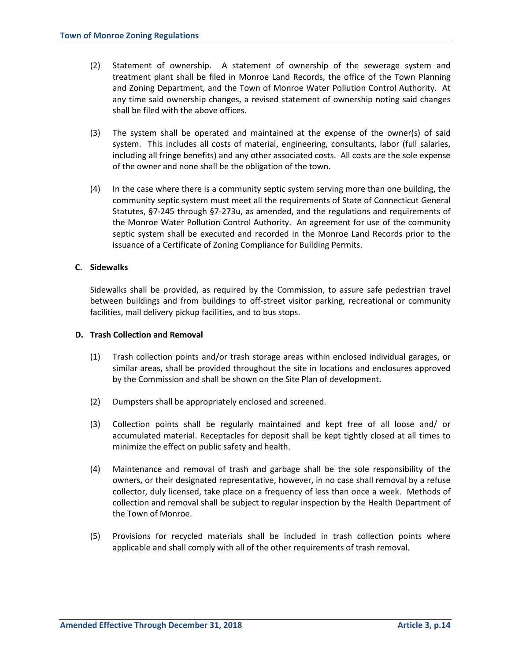- (2) Statement of ownership. A statement of ownership of the sewerage system and treatment plant shall be filed in Monroe Land Records, the office of the Town Planning and Zoning Department, and the Town of Monroe Water Pollution Control Authority. At any time said ownership changes, a revised statement of ownership noting said changes shall be filed with the above offices.
- (3) The system shall be operated and maintained at the expense of the owner(s) of said system. This includes all costs of material, engineering, consultants, labor (full salaries, including all fringe benefits) and any other associated costs. All costs are the sole expense of the owner and none shall be the obligation of the town.
- (4) In the case where there is a community septic system serving more than one building, the community septic system must meet all the requirements of State of Connecticut General Statutes, §7-245 through §7-273u, as amended, and the regulations and requirements of the Monroe Water Pollution Control Authority. An agreement for use of the community septic system shall be executed and recorded in the Monroe Land Records prior to the issuance of a Certificate of Zoning Compliance for Building Permits.

## **C. Sidewalks**

Sidewalks shall be provided, as required by the Commission, to assure safe pedestrian travel between buildings and from buildings to off-street visitor parking, recreational or community facilities, mail delivery pickup facilities, and to bus stops.

### **D. Trash Collection and Removal**

- (1) Trash collection points and/or trash storage areas within enclosed individual garages, or similar areas, shall be provided throughout the site in locations and enclosures approved by the Commission and shall be shown on the Site Plan of development.
- (2) Dumpsters shall be appropriately enclosed and screened.
- (3) Collection points shall be regularly maintained and kept free of all loose and/ or accumulated material. Receptacles for deposit shall be kept tightly closed at all times to minimize the effect on public safety and health.
- (4) Maintenance and removal of trash and garbage shall be the sole responsibility of the owners, or their designated representative, however, in no case shall removal by a refuse collector, duly licensed, take place on a frequency of less than once a week. Methods of collection and removal shall be subject to regular inspection by the Health Department of the Town of Monroe.
- (5) Provisions for recycled materials shall be included in trash collection points where applicable and shall comply with all of the other requirements of trash removal.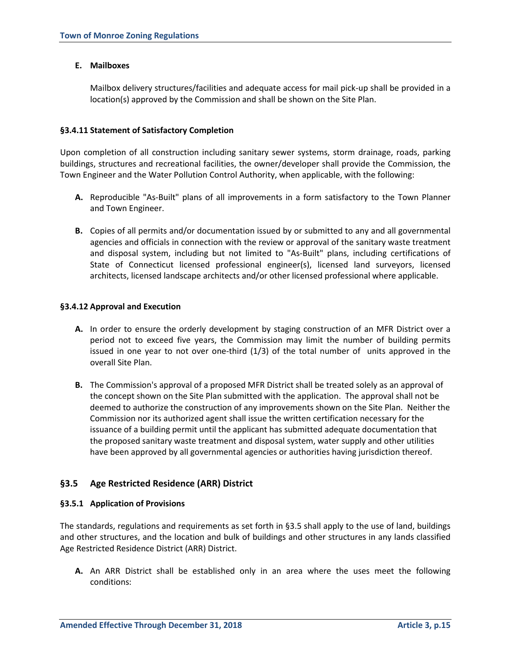## **E. Mailboxes**

Mailbox delivery structures/facilities and adequate access for mail pick-up shall be provided in a location(s) approved by the Commission and shall be shown on the Site Plan.

## **§3.4.11 Statement of Satisfactory Completion**

Upon completion of all construction including sanitary sewer systems, storm drainage, roads, parking buildings, structures and recreational facilities, the owner/developer shall provide the Commission, the Town Engineer and the Water Pollution Control Authority, when applicable, with the following:

- **A.** Reproducible "As-Built" plans of all improvements in a form satisfactory to the Town Planner and Town Engineer.
- **B.** Copies of all permits and/or documentation issued by or submitted to any and all governmental agencies and officials in connection with the review or approval of the sanitary waste treatment and disposal system, including but not limited to "As-Built" plans, including certifications of State of Connecticut licensed professional engineer(s), licensed land surveyors, licensed architects, licensed landscape architects and/or other licensed professional where applicable.

## **§3.4.12 Approval and Execution**

- **A.** In order to ensure the orderly development by staging construction of an MFR District over a period not to exceed five years, the Commission may limit the number of building permits issued in one year to not over one-third (1/3) of the total number of units approved in the overall Site Plan.
- **B.** The Commission's approval of a proposed MFR District shall be treated solely as an approval of the concept shown on the Site Plan submitted with the application. The approval shall not be deemed to authorize the construction of any improvements shown on the Site Plan. Neither the Commission nor its authorized agent shall issue the written certification necessary for the issuance of a building permit until the applicant has submitted adequate documentation that the proposed sanitary waste treatment and disposal system, water supply and other utilities have been approved by all governmental agencies or authorities having jurisdiction thereof.

# **§3.5 Age Restricted Residence (ARR) District**

## **§3.5.1 Application of Provisions**

The standards, regulations and requirements as set forth in §3.5 shall apply to the use of land, buildings and other structures, and the location and bulk of buildings and other structures in any lands classified Age Restricted Residence District (ARR) District.

**A.** An ARR District shall be established only in an area where the uses meet the following conditions: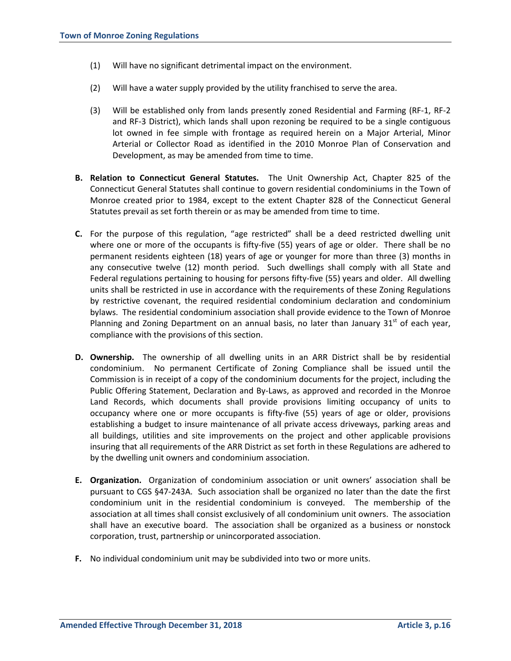- (1) Will have no significant detrimental impact on the environment.
- (2) Will have a water supply provided by the utility franchised to serve the area.
- (3) Will be established only from lands presently zoned Residential and Farming (RF-1, RF-2 and RF-3 District), which lands shall upon rezoning be required to be a single contiguous lot owned in fee simple with frontage as required herein on a Major Arterial, Minor Arterial or Collector Road as identified in the 2010 Monroe Plan of Conservation and Development, as may be amended from time to time.
- **B. Relation to Connecticut General Statutes.** The Unit Ownership Act, Chapter 825 of the Connecticut General Statutes shall continue to govern residential condominiums in the Town of Monroe created prior to 1984, except to the extent Chapter 828 of the Connecticut General Statutes prevail as set forth therein or as may be amended from time to time.
- **C.** For the purpose of this regulation, "age restricted" shall be a deed restricted dwelling unit where one or more of the occupants is fifty-five (55) years of age or older. There shall be no permanent residents eighteen (18) years of age or younger for more than three (3) months in any consecutive twelve (12) month period. Such dwellings shall comply with all State and Federal regulations pertaining to housing for persons fifty-five (55) years and older. All dwelling units shall be restricted in use in accordance with the requirements of these Zoning Regulations by restrictive covenant, the required residential condominium declaration and condominium bylaws. The residential condominium association shall provide evidence to the Town of Monroe Planning and Zoning Department on an annual basis, no later than January  $31<sup>st</sup>$  of each year, compliance with the provisions of this section.
- **D. Ownership.** The ownership of all dwelling units in an ARR District shall be by residential condominium. No permanent Certificate of Zoning Compliance shall be issued until the Commission is in receipt of a copy of the condominium documents for the project, including the Public Offering Statement, Declaration and By-Laws, as approved and recorded in the Monroe Land Records, which documents shall provide provisions limiting occupancy of units to occupancy where one or more occupants is fifty-five (55) years of age or older, provisions establishing a budget to insure maintenance of all private access driveways, parking areas and all buildings, utilities and site improvements on the project and other applicable provisions insuring that all requirements of the ARR District as set forth in these Regulations are adhered to by the dwelling unit owners and condominium association.
- **E. Organization.** Organization of condominium association or unit owners' association shall be pursuant to CGS §47-243A. Such association shall be organized no later than the date the first condominium unit in the residential condominium is conveyed. The membership of the association at all times shall consist exclusively of all condominium unit owners. The association shall have an executive board. The association shall be organized as a business or nonstock corporation, trust, partnership or unincorporated association.
- **F.** No individual condominium unit may be subdivided into two or more units.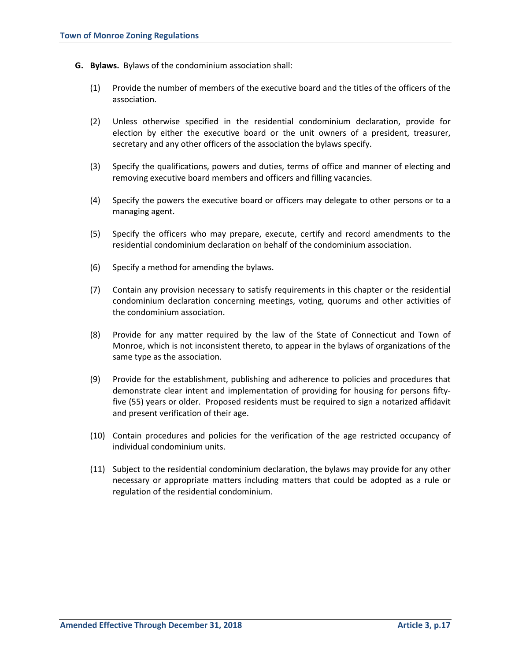- **G. Bylaws.** Bylaws of the condominium association shall:
	- (1) Provide the number of members of the executive board and the titles of the officers of the association.
	- (2) Unless otherwise specified in the residential condominium declaration, provide for election by either the executive board or the unit owners of a president, treasurer, secretary and any other officers of the association the bylaws specify.
	- (3) Specify the qualifications, powers and duties, terms of office and manner of electing and removing executive board members and officers and filling vacancies.
	- (4) Specify the powers the executive board or officers may delegate to other persons or to a managing agent.
	- (5) Specify the officers who may prepare, execute, certify and record amendments to the residential condominium declaration on behalf of the condominium association.
	- (6) Specify a method for amending the bylaws.
	- (7) Contain any provision necessary to satisfy requirements in this chapter or the residential condominium declaration concerning meetings, voting, quorums and other activities of the condominium association.
	- (8) Provide for any matter required by the law of the State of Connecticut and Town of Monroe, which is not inconsistent thereto, to appear in the bylaws of organizations of the same type as the association.
	- (9) Provide for the establishment, publishing and adherence to policies and procedures that demonstrate clear intent and implementation of providing for housing for persons fiftyfive (55) years or older. Proposed residents must be required to sign a notarized affidavit and present verification of their age.
	- (10) Contain procedures and policies for the verification of the age restricted occupancy of individual condominium units.
	- (11) Subject to the residential condominium declaration, the bylaws may provide for any other necessary or appropriate matters including matters that could be adopted as a rule or regulation of the residential condominium.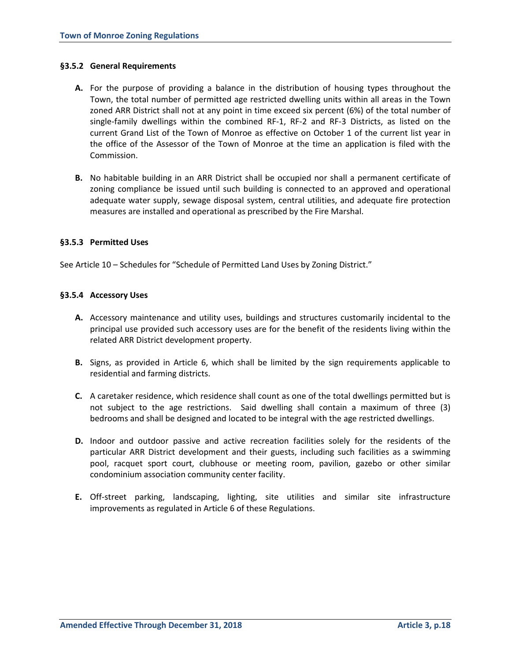### **§3.5.2 General Requirements**

- **A.** For the purpose of providing a balance in the distribution of housing types throughout the Town, the total number of permitted age restricted dwelling units within all areas in the Town zoned ARR District shall not at any point in time exceed six percent (6%) of the total number of single-family dwellings within the combined RF-1, RF-2 and RF-3 Districts, as listed on the current Grand List of the Town of Monroe as effective on October 1 of the current list year in the office of the Assessor of the Town of Monroe at the time an application is filed with the Commission.
- **B.** No habitable building in an ARR District shall be occupied nor shall a permanent certificate of zoning compliance be issued until such building is connected to an approved and operational adequate water supply, sewage disposal system, central utilities, and adequate fire protection measures are installed and operational as prescribed by the Fire Marshal.

## **§3.5.3 Permitted Uses**

See Article 10 – Schedules for "Schedule of Permitted Land Uses by Zoning District."

## **§3.5.4 Accessory Uses**

- **A.** Accessory maintenance and utility uses, buildings and structures customarily incidental to the principal use provided such accessory uses are for the benefit of the residents living within the related ARR District development property.
- **B.** Signs, as provided in Article 6, which shall be limited by the sign requirements applicable to residential and farming districts.
- **C.** A caretaker residence, which residence shall count as one of the total dwellings permitted but is not subject to the age restrictions. Said dwelling shall contain a maximum of three (3) bedrooms and shall be designed and located to be integral with the age restricted dwellings.
- **D.** Indoor and outdoor passive and active recreation facilities solely for the residents of the particular ARR District development and their guests, including such facilities as a swimming pool, racquet sport court, clubhouse or meeting room, pavilion, gazebo or other similar condominium association community center facility.
- **E.** Off-street parking, landscaping, lighting, site utilities and similar site infrastructure improvements as regulated in Article 6 of these Regulations.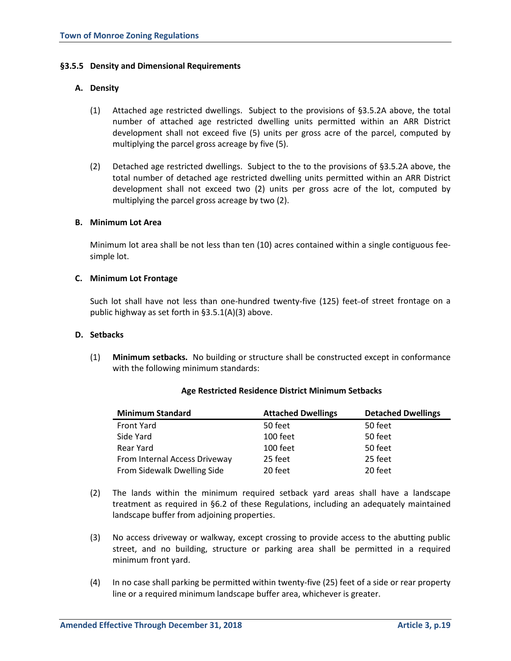### **§3.5.5 Density and Dimensional Requirements**

## **A. Density**

- (1) Attached age restricted dwellings. Subject to the provisions of §3.5.2A above, the total number of attached age restricted dwelling units permitted within an ARR District development shall not exceed five (5) units per gross acre of the parcel, computed by multiplying the parcel gross acreage by five (5).
- (2) Detached age restricted dwellings. Subject to the to the provisions of §3.5.2A above, the total number of detached age restricted dwelling units permitted within an ARR District development shall not exceed two (2) units per gross acre of the lot, computed by multiplying the parcel gross acreage by two (2).

## **B. Minimum Lot Area**

Minimum lot area shall be not less than ten (10) acres contained within a single contiguous feesimple lot.

## **C. Minimum Lot Frontage**

Such lot shall have not less than one-hundred twenty-five (125) feet-of street frontage on a public highway as set forth in §3.5.1(A)(3) above.

## **D. Setbacks**

(1) **Minimum setbacks.** No building or structure shall be constructed except in conformance with the following minimum standards:

| <b>Minimum Standard</b>       | <b>Attached Dwellings</b> | <b>Detached Dwellings</b> |
|-------------------------------|---------------------------|---------------------------|
| <b>Front Yard</b>             | 50 feet                   | 50 feet                   |
| Side Yard                     | 100 feet                  | 50 feet                   |
| Rear Yard                     | 100 feet                  | 50 feet                   |
| From Internal Access Driveway | 25 feet                   | 25 feet                   |
| From Sidewalk Dwelling Side   | 20 feet                   | 20 feet                   |

#### **Age Restricted Residence District Minimum Setbacks**

- (2) The lands within the minimum required setback yard areas shall have a landscape treatment as required in §6.2 of these Regulations, including an adequately maintained landscape buffer from adjoining properties.
- (3) No access driveway or walkway, except crossing to provide access to the abutting public street, and no building, structure or parking area shall be permitted in a required minimum front yard.
- (4) In no case shall parking be permitted within twenty-five (25) feet of a side or rear property line or a required minimum landscape buffer area, whichever is greater.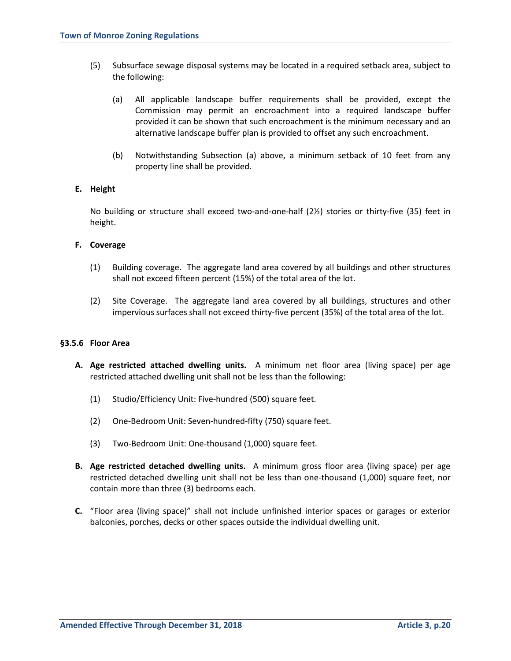- (5) Subsurface sewage disposal systems may be located in a required setback area, subject to the following:
	- (a) All applicable landscape buffer requirements shall be provided, except the Commission may permit an encroachment into a required landscape buffer provided it can be shown that such encroachment is the minimum necessary and an alternative landscape buffer plan is provided to offset any such encroachment.
	- (b) Notwithstanding Subsection (a) above, a minimum setback of 10 feet from any property line shall be provided.

## **E. Height**

No building or structure shall exceed two-and-one-half (2½) stories or thirty-five (35) feet in height.

## **F. Coverage**

- (1) Building coverage. The aggregate land area covered by all buildings and other structures shall not exceed fifteen percent (15%) of the total area of the lot.
- (2) Site Coverage. The aggregate land area covered by all buildings, structures and other impervious surfaces shall not exceed thirty-five percent (35%) of the total area of the lot.

#### **§3.5.6 Floor Area**

- **A. Age restricted attached dwelling units.** A minimum net floor area (living space) per age restricted attached dwelling unit shall not be less than the following:
	- (1) Studio/Efficiency Unit: Five-hundred (500) square feet.
	- (2) One-Bedroom Unit: Seven-hundred-fifty (750) square feet.
	- (3) Two-Bedroom Unit: One-thousand (1,000) square feet.
- **B. Age restricted detached dwelling units.** A minimum gross floor area (living space) per age restricted detached dwelling unit shall not be less than one-thousand (1,000) square feet, nor contain more than three (3) bedrooms each.
- **C.** "Floor area (living space)" shall not include unfinished interior spaces or garages or exterior balconies, porches, decks or other spaces outside the individual dwelling unit.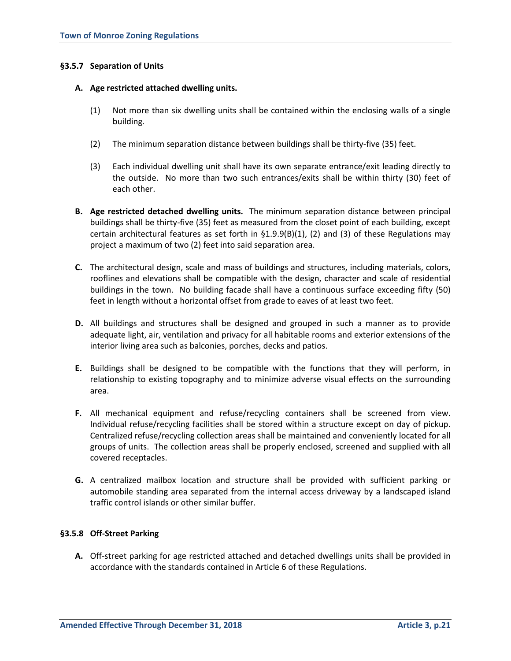## **§3.5.7 Separation of Units**

#### **A. Age restricted attached dwelling units.**

- (1) Not more than six dwelling units shall be contained within the enclosing walls of a single building.
- (2) The minimum separation distance between buildings shall be thirty-five (35) feet.
- (3) Each individual dwelling unit shall have its own separate entrance/exit leading directly to the outside. No more than two such entrances/exits shall be within thirty (30) feet of each other.
- **B. Age restricted detached dwelling units.** The minimum separation distance between principal buildings shall be thirty-five (35) feet as measured from the closet point of each building, except certain architectural features as set forth in §1.9.9(B)(1), (2) and (3) of these Regulations may project a maximum of two (2) feet into said separation area.
- **C.** The architectural design, scale and mass of buildings and structures, including materials, colors, rooflines and elevations shall be compatible with the design, character and scale of residential buildings in the town. No building facade shall have a continuous surface exceeding fifty (50) feet in length without a horizontal offset from grade to eaves of at least two feet.
- **D.** All buildings and structures shall be designed and grouped in such a manner as to provide adequate light, air, ventilation and privacy for all habitable rooms and exterior extensions of the interior living area such as balconies, porches, decks and patios.
- **E.** Buildings shall be designed to be compatible with the functions that they will perform, in relationship to existing topography and to minimize adverse visual effects on the surrounding area.
- **F.** All mechanical equipment and refuse/recycling containers shall be screened from view. Individual refuse/recycling facilities shall be stored within a structure except on day of pickup. Centralized refuse/recycling collection areas shall be maintained and conveniently located for all groups of units. The collection areas shall be properly enclosed, screened and supplied with all covered receptacles.
- **G.** A centralized mailbox location and structure shall be provided with sufficient parking or automobile standing area separated from the internal access driveway by a landscaped island traffic control islands or other similar buffer.

#### **§3.5.8 Off-Street Parking**

**A.** Off-street parking for age restricted attached and detached dwellings units shall be provided in accordance with the standards contained in Article 6 of these Regulations.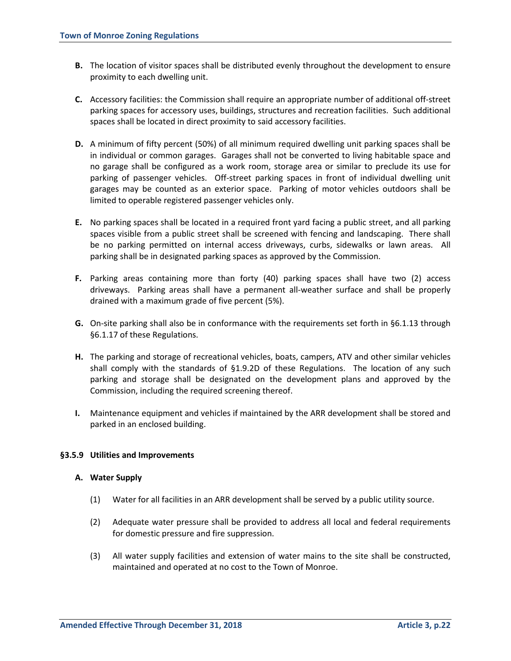- **B.** The location of visitor spaces shall be distributed evenly throughout the development to ensure proximity to each dwelling unit.
- **C.** Accessory facilities: the Commission shall require an appropriate number of additional off-street parking spaces for accessory uses, buildings, structures and recreation facilities. Such additional spaces shall be located in direct proximity to said accessory facilities.
- **D.** A minimum of fifty percent (50%) of all minimum required dwelling unit parking spaces shall be in individual or common garages. Garages shall not be converted to living habitable space and no garage shall be configured as a work room, storage area or similar to preclude its use for parking of passenger vehicles. Off-street parking spaces in front of individual dwelling unit garages may be counted as an exterior space. Parking of motor vehicles outdoors shall be limited to operable registered passenger vehicles only.
- **E.** No parking spaces shall be located in a required front yard facing a public street, and all parking spaces visible from a public street shall be screened with fencing and landscaping. There shall be no parking permitted on internal access driveways, curbs, sidewalks or lawn areas. All parking shall be in designated parking spaces as approved by the Commission.
- **F.** Parking areas containing more than forty (40) parking spaces shall have two (2) access driveways. Parking areas shall have a permanent all-weather surface and shall be properly drained with a maximum grade of five percent (5%).
- **G.** On-site parking shall also be in conformance with the requirements set forth in §6.1.13 through §6.1.17 of these Regulations.
- **H.** The parking and storage of recreational vehicles, boats, campers, ATV and other similar vehicles shall comply with the standards of §1.9.2D of these Regulations. The location of any such parking and storage shall be designated on the development plans and approved by the Commission, including the required screening thereof.
- **I.** Maintenance equipment and vehicles if maintained by the ARR development shall be stored and parked in an enclosed building.

#### **§3.5.9 Utilities and Improvements**

#### **A. Water Supply**

- (1) Water for all facilities in an ARR development shall be served by a public utility source.
- (2) Adequate water pressure shall be provided to address all local and federal requirements for domestic pressure and fire suppression.
- (3) All water supply facilities and extension of water mains to the site shall be constructed, maintained and operated at no cost to the Town of Monroe.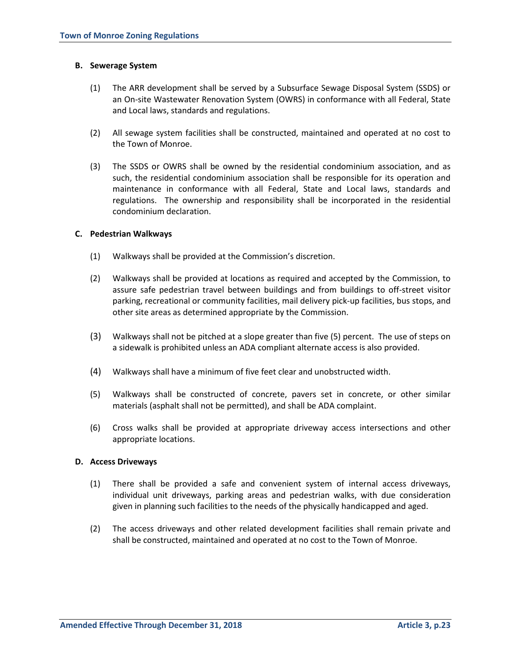### **B. Sewerage System**

- (1) The ARR development shall be served by a Subsurface Sewage Disposal System (SSDS) or an On-site Wastewater Renovation System (OWRS) in conformance with all Federal, State and Local laws, standards and regulations.
- (2) All sewage system facilities shall be constructed, maintained and operated at no cost to the Town of Monroe.
- (3) The SSDS or OWRS shall be owned by the residential condominium association, and as such, the residential condominium association shall be responsible for its operation and maintenance in conformance with all Federal, State and Local laws, standards and regulations. The ownership and responsibility shall be incorporated in the residential condominium declaration.

## **C. Pedestrian Walkways**

- (1) Walkways shall be provided at the Commission's discretion.
- (2) Walkways shall be provided at locations as required and accepted by the Commission, to assure safe pedestrian travel between buildings and from buildings to off-street visitor parking, recreational or community facilities, mail delivery pick-up facilities, bus stops, and other site areas as determined appropriate by the Commission.
- (3) Walkways shall not be pitched at a slope greater than five (5) percent. The use of steps on a sidewalk is prohibited unless an ADA compliant alternate access is also provided.
- (4) Walkways shall have a minimum of five feet clear and unobstructed width.
- (5) Walkways shall be constructed of concrete, pavers set in concrete, or other similar materials (asphalt shall not be permitted), and shall be ADA complaint.
- (6) Cross walks shall be provided at appropriate driveway access intersections and other appropriate locations.

#### **D. Access Driveways**

- (1) There shall be provided a safe and convenient system of internal access driveways, individual unit driveways, parking areas and pedestrian walks, with due consideration given in planning such facilities to the needs of the physically handicapped and aged.
- (2) The access driveways and other related development facilities shall remain private and shall be constructed, maintained and operated at no cost to the Town of Monroe.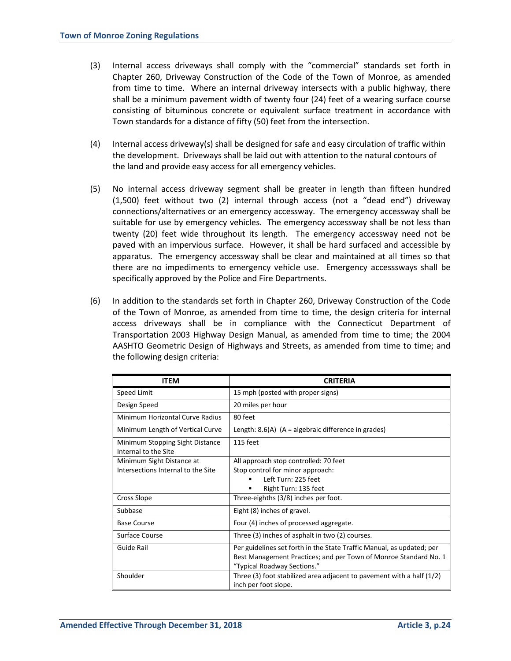- (3) Internal access driveways shall comply with the "commercial" standards set forth in Chapter 260, Driveway Construction of the Code of the Town of Monroe, as amended from time to time. Where an internal driveway intersects with a public highway, there shall be a minimum pavement width of twenty four (24) feet of a wearing surface course consisting of bituminous concrete or equivalent surface treatment in accordance with Town standards for a distance of fifty (50) feet from the intersection.
- (4) Internal access driveway(s) shall be designed for safe and easy circulation of traffic within the development. Driveways shall be laid out with attention to the natural contours of the land and provide easy access for all emergency vehicles.
- (5) No internal access driveway segment shall be greater in length than fifteen hundred (1,500) feet without two (2) internal through access (not a "dead end") driveway connections/alternatives or an emergency accessway. The emergency accessway shall be suitable for use by emergency vehicles. The emergency accessway shall be not less than twenty (20) feet wide throughout its length. The emergency accessway need not be paved with an impervious surface. However, it shall be hard surfaced and accessible by apparatus. The emergency accessway shall be clear and maintained at all times so that there are no impediments to emergency vehicle use. Emergency accesssways shall be specifically approved by the Police and Fire Departments.
- (6) In addition to the standards set forth in Chapter 260, Driveway Construction of the Code of the Town of Monroe, as amended from time to time, the design criteria for internal access driveways shall be in compliance with the Connecticut Department of Transportation 2003 Highway Design Manual, as amended from time to time; the 2004 AASHTO Geometric Design of Highways and Streets, as amended from time to time; and the following design criteria:

| <b>ITEM</b>                                                     | <b>CRITERIA</b>                                                                                                                                                          |
|-----------------------------------------------------------------|--------------------------------------------------------------------------------------------------------------------------------------------------------------------------|
| Speed Limit                                                     | 15 mph (posted with proper signs)                                                                                                                                        |
| Design Speed                                                    | 20 miles per hour                                                                                                                                                        |
| Minimum Horizontal Curve Radius                                 | 80 feet                                                                                                                                                                  |
| Minimum Length of Vertical Curve                                | Length: $8.6(A)$ (A = algebraic difference in grades)                                                                                                                    |
| Minimum Stopping Sight Distance<br>Internal to the Site         | 115 feet                                                                                                                                                                 |
| Minimum Sight Distance at<br>Intersections Internal to the Site | All approach stop controlled: 70 feet<br>Stop control for minor approach:<br>Left Turn: 225 feet<br>Right Turn: 135 feet                                                 |
| Cross Slope                                                     | Three-eighths (3/8) inches per foot.                                                                                                                                     |
| Subbase                                                         | Eight (8) inches of gravel.                                                                                                                                              |
| <b>Base Course</b>                                              | Four (4) inches of processed aggregate.                                                                                                                                  |
| Surface Course                                                  | Three (3) inches of asphalt in two (2) courses.                                                                                                                          |
| Guide Rail                                                      | Per guidelines set forth in the State Traffic Manual, as updated; per<br>Best Management Practices; and per Town of Monroe Standard No. 1<br>"Typical Roadway Sections." |
| Shoulder                                                        | Three (3) foot stabilized area adjacent to pavement with a half $(1/2)$<br>inch per foot slope.                                                                          |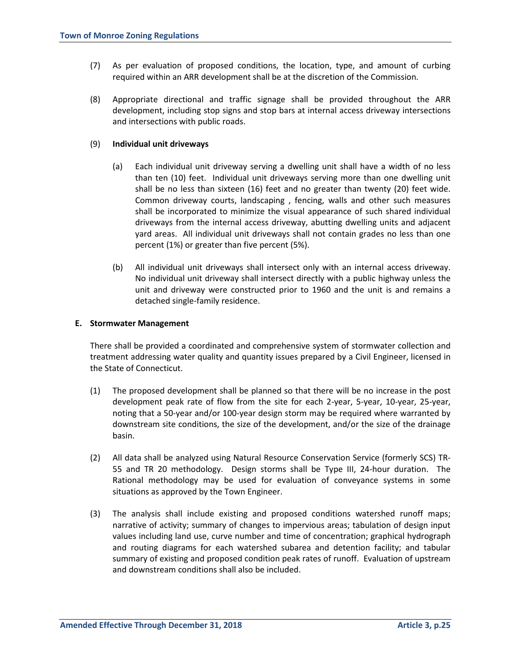- (7) As per evaluation of proposed conditions, the location, type, and amount of curbing required within an ARR development shall be at the discretion of the Commission.
- (8) Appropriate directional and traffic signage shall be provided throughout the ARR development, including stop signs and stop bars at internal access driveway intersections and intersections with public roads.

### (9) **Individual unit driveways**

- (a) Each individual unit driveway serving a dwelling unit shall have a width of no less than ten (10) feet. Individual unit driveways serving more than one dwelling unit shall be no less than sixteen (16) feet and no greater than twenty (20) feet wide. Common driveway courts, landscaping , fencing, walls and other such measures shall be incorporated to minimize the visual appearance of such shared individual driveways from the internal access driveway, abutting dwelling units and adjacent yard areas. All individual unit driveways shall not contain grades no less than one percent (1%) or greater than five percent (5%).
- (b) All individual unit driveways shall intersect only with an internal access driveway. No individual unit driveway shall intersect directly with a public highway unless the unit and driveway were constructed prior to 1960 and the unit is and remains a detached single-family residence.

#### **E. Stormwater Management**

There shall be provided a coordinated and comprehensive system of stormwater collection and treatment addressing water quality and quantity issues prepared by a Civil Engineer, licensed in the State of Connecticut.

- (1) The proposed development shall be planned so that there will be no increase in the post development peak rate of flow from the site for each 2-year, 5-year, 10-year, 25-year, noting that a 50-year and/or 100-year design storm may be required where warranted by downstream site conditions, the size of the development, and/or the size of the drainage basin.
- (2) All data shall be analyzed using Natural Resource Conservation Service (formerly SCS) TR-55 and TR 20 methodology. Design storms shall be Type III, 24-hour duration. The Rational methodology may be used for evaluation of conveyance systems in some situations as approved by the Town Engineer.
- (3) The analysis shall include existing and proposed conditions watershed runoff maps; narrative of activity; summary of changes to impervious areas; tabulation of design input values including land use, curve number and time of concentration; graphical hydrograph and routing diagrams for each watershed subarea and detention facility; and tabular summary of existing and proposed condition peak rates of runoff. Evaluation of upstream and downstream conditions shall also be included.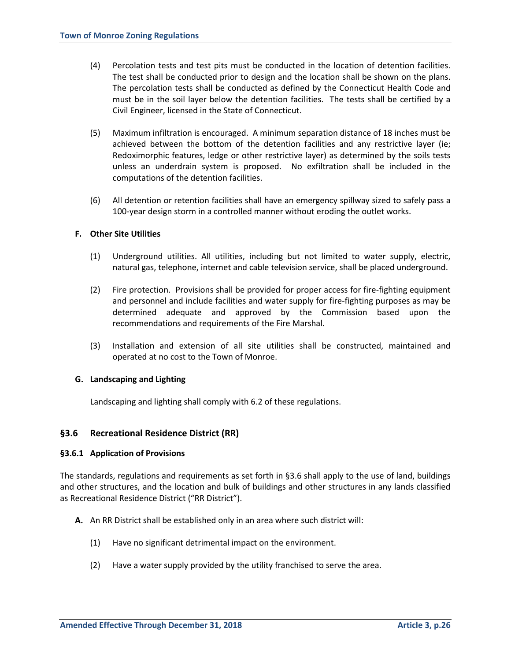- (4) Percolation tests and test pits must be conducted in the location of detention facilities. The test shall be conducted prior to design and the location shall be shown on the plans. The percolation tests shall be conducted as defined by the Connecticut Health Code and must be in the soil layer below the detention facilities. The tests shall be certified by a Civil Engineer, licensed in the State of Connecticut.
- (5) Maximum infiltration is encouraged. A minimum separation distance of 18 inches must be achieved between the bottom of the detention facilities and any restrictive layer (ie; Redoximorphic features, ledge or other restrictive layer) as determined by the soils tests unless an underdrain system is proposed. No exfiltration shall be included in the computations of the detention facilities.
- (6) All detention or retention facilities shall have an emergency spillway sized to safely pass a 100-year design storm in a controlled manner without eroding the outlet works.

## **F. Other Site Utilities**

- (1) Underground utilities. All utilities, including but not limited to water supply, electric, natural gas, telephone, internet and cable television service, shall be placed underground.
- (2) Fire protection. Provisions shall be provided for proper access for fire-fighting equipment and personnel and include facilities and water supply for fire-fighting purposes as may be determined adequate and approved by the Commission based upon the recommendations and requirements of the Fire Marshal.
- (3) Installation and extension of all site utilities shall be constructed, maintained and operated at no cost to the Town of Monroe.

#### **G. Landscaping and Lighting**

Landscaping and lighting shall comply with 6.2 of these regulations.

## **§3.6 Recreational Residence District (RR)**

#### **§3.6.1 Application of Provisions**

The standards, regulations and requirements as set forth in §3.6 shall apply to the use of land, buildings and other structures, and the location and bulk of buildings and other structures in any lands classified as Recreational Residence District ("RR District").

- **A.** An RR District shall be established only in an area where such district will:
	- (1) Have no significant detrimental impact on the environment.
	- (2) Have a water supply provided by the utility franchised to serve the area.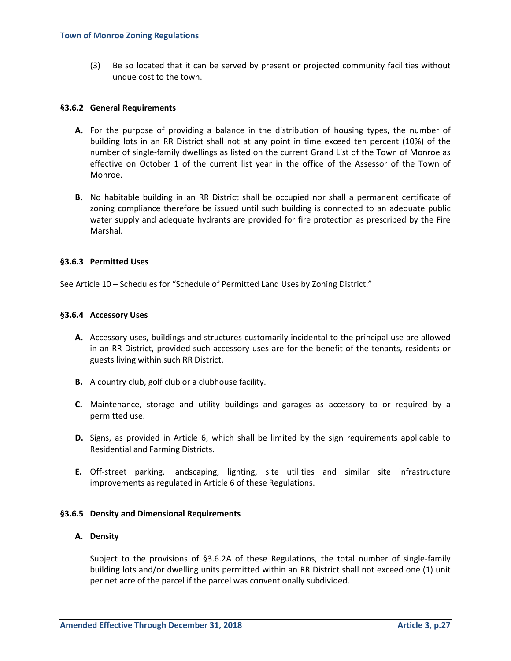(3) Be so located that it can be served by present or projected community facilities without undue cost to the town.

### **§3.6.2 General Requirements**

- **A.** For the purpose of providing a balance in the distribution of housing types, the number of building lots in an RR District shall not at any point in time exceed ten percent (10%) of the number of single-family dwellings as listed on the current Grand List of the Town of Monroe as effective on October 1 of the current list year in the office of the Assessor of the Town of Monroe.
- **B.** No habitable building in an RR District shall be occupied nor shall a permanent certificate of zoning compliance therefore be issued until such building is connected to an adequate public water supply and adequate hydrants are provided for fire protection as prescribed by the Fire Marshal.

## **§3.6.3 Permitted Uses**

See Article 10 – Schedules for "Schedule of Permitted Land Uses by Zoning District."

## **§3.6.4 Accessory Uses**

- **A.** Accessory uses, buildings and structures customarily incidental to the principal use are allowed in an RR District, provided such accessory uses are for the benefit of the tenants, residents or guests living within such RR District.
- **B.** A country club, golf club or a clubhouse facility.
- **C.** Maintenance, storage and utility buildings and garages as accessory to or required by a permitted use.
- **D.** Signs, as provided in Article 6, which shall be limited by the sign requirements applicable to Residential and Farming Districts.
- **E.** Off-street parking, landscaping, lighting, site utilities and similar site infrastructure improvements as regulated in Article 6 of these Regulations.

#### **§3.6.5 Density and Dimensional Requirements**

#### **A. Density**

Subject to the provisions of §3.6.2A of these Regulations, the total number of single-family building lots and/or dwelling units permitted within an RR District shall not exceed one (1) unit per net acre of the parcel if the parcel was conventionally subdivided.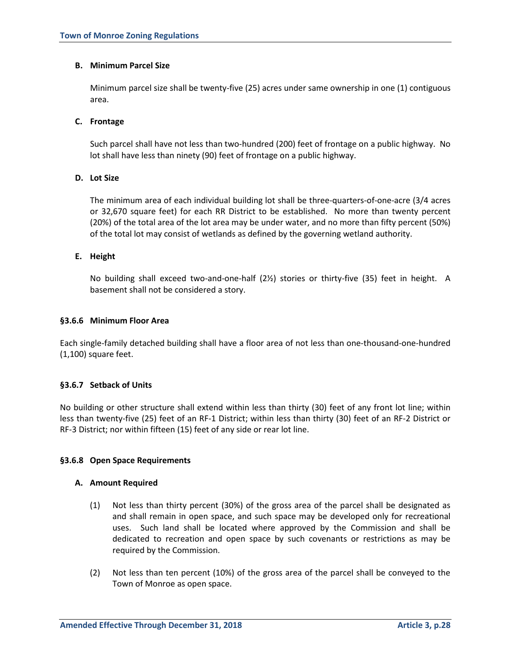## **B. Minimum Parcel Size**

Minimum parcel size shall be twenty-five (25) acres under same ownership in one (1) contiguous area.

## **C. Frontage**

Such parcel shall have not less than two-hundred (200) feet of frontage on a public highway. No lot shall have less than ninety (90) feet of frontage on a public highway.

## **D. Lot Size**

The minimum area of each individual building lot shall be three-quarters-of-one-acre (3/4 acres or 32,670 square feet) for each RR District to be established. No more than twenty percent (20%) of the total area of the lot area may be under water, and no more than fifty percent (50%) of the total lot may consist of wetlands as defined by the governing wetland authority.

## **E. Height**

No building shall exceed two-and-one-half (2½) stories or thirty-five (35) feet in height. A basement shall not be considered a story.

## **§3.6.6 Minimum Floor Area**

Each single-family detached building shall have a floor area of not less than one-thousand-one-hundred (1,100) square feet.

## **§3.6.7 Setback of Units**

No building or other structure shall extend within less than thirty (30) feet of any front lot line; within less than twenty-five (25) feet of an RF-1 District; within less than thirty (30) feet of an RF-2 District or RF-3 District; nor within fifteen (15) feet of any side or rear lot line.

#### **§3.6.8 Open Space Requirements**

#### **A. Amount Required**

- (1) Not less than thirty percent (30%) of the gross area of the parcel shall be designated as and shall remain in open space, and such space may be developed only for recreational uses. Such land shall be located where approved by the Commission and shall be dedicated to recreation and open space by such covenants or restrictions as may be required by the Commission.
- (2) Not less than ten percent (10%) of the gross area of the parcel shall be conveyed to the Town of Monroe as open space.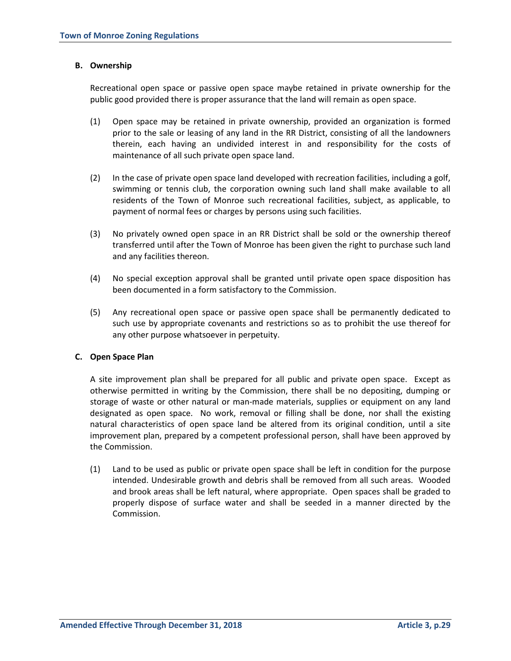## **B. Ownership**

Recreational open space or passive open space maybe retained in private ownership for the public good provided there is proper assurance that the land will remain as open space.

- (1) Open space may be retained in private ownership, provided an organization is formed prior to the sale or leasing of any land in the RR District, consisting of all the landowners therein, each having an undivided interest in and responsibility for the costs of maintenance of all such private open space land.
- (2) In the case of private open space land developed with recreation facilities, including a golf, swimming or tennis club, the corporation owning such land shall make available to all residents of the Town of Monroe such recreational facilities, subject, as applicable, to payment of normal fees or charges by persons using such facilities.
- (3) No privately owned open space in an RR District shall be sold or the ownership thereof transferred until after the Town of Monroe has been given the right to purchase such land and any facilities thereon.
- (4) No special exception approval shall be granted until private open space disposition has been documented in a form satisfactory to the Commission.
- (5) Any recreational open space or passive open space shall be permanently dedicated to such use by appropriate covenants and restrictions so as to prohibit the use thereof for any other purpose whatsoever in perpetuity.

#### **C. Open Space Plan**

A site improvement plan shall be prepared for all public and private open space. Except as otherwise permitted in writing by the Commission, there shall be no depositing, dumping or storage of waste or other natural or man-made materials, supplies or equipment on any land designated as open space. No work, removal or filling shall be done, nor shall the existing natural characteristics of open space land be altered from its original condition, until a site improvement plan, prepared by a competent professional person, shall have been approved by the Commission.

(1) Land to be used as public or private open space shall be left in condition for the purpose intended. Undesirable growth and debris shall be removed from all such areas. Wooded and brook areas shall be left natural, where appropriate. Open spaces shall be graded to properly dispose of surface water and shall be seeded in a manner directed by the Commission.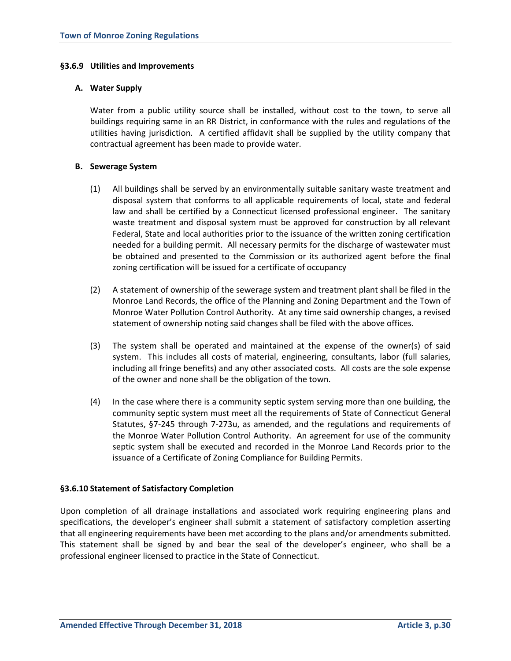## **§3.6.9 Utilities and Improvements**

### **A. Water Supply**

Water from a public utility source shall be installed, without cost to the town, to serve all buildings requiring same in an RR District, in conformance with the rules and regulations of the utilities having jurisdiction. A certified affidavit shall be supplied by the utility company that contractual agreement has been made to provide water.

## **B. Sewerage System**

- (1) All buildings shall be served by an environmentally suitable sanitary waste treatment and disposal system that conforms to all applicable requirements of local, state and federal law and shall be certified by a Connecticut licensed professional engineer. The sanitary waste treatment and disposal system must be approved for construction by all relevant Federal, State and local authorities prior to the issuance of the written zoning certification needed for a building permit. All necessary permits for the discharge of wastewater must be obtained and presented to the Commission or its authorized agent before the final zoning certification will be issued for a certificate of occupancy
- (2) A statement of ownership of the sewerage system and treatment plant shall be filed in the Monroe Land Records, the office of the Planning and Zoning Department and the Town of Monroe Water Pollution Control Authority. At any time said ownership changes, a revised statement of ownership noting said changes shall be filed with the above offices.
- (3) The system shall be operated and maintained at the expense of the owner(s) of said system. This includes all costs of material, engineering, consultants, labor (full salaries, including all fringe benefits) and any other associated costs. All costs are the sole expense of the owner and none shall be the obligation of the town.
- (4) In the case where there is a community septic system serving more than one building, the community septic system must meet all the requirements of State of Connecticut General Statutes, §7-245 through 7-273u, as amended, and the regulations and requirements of the Monroe Water Pollution Control Authority. An agreement for use of the community septic system shall be executed and recorded in the Monroe Land Records prior to the issuance of a Certificate of Zoning Compliance for Building Permits.

## **§3.6.10 Statement of Satisfactory Completion**

Upon completion of all drainage installations and associated work requiring engineering plans and specifications, the developer's engineer shall submit a statement of satisfactory completion asserting that all engineering requirements have been met according to the plans and/or amendments submitted. This statement shall be signed by and bear the seal of the developer's engineer, who shall be a professional engineer licensed to practice in the State of Connecticut.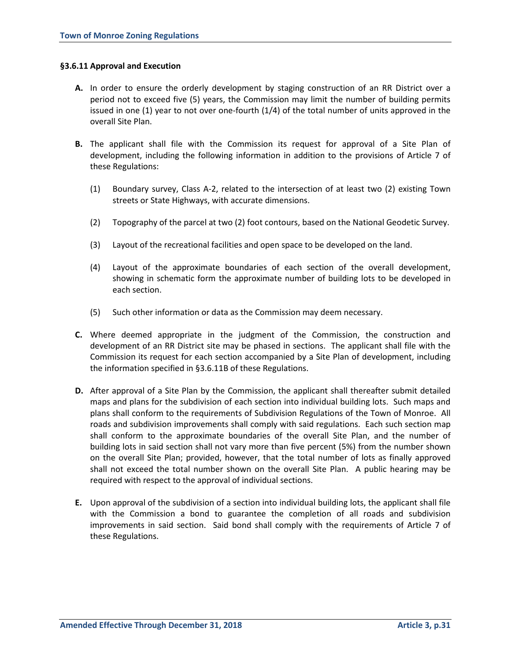#### **§3.6.11 Approval and Execution**

- **A.** In order to ensure the orderly development by staging construction of an RR District over a period not to exceed five (5) years, the Commission may limit the number of building permits issued in one (1) year to not over one-fourth (1/4) of the total number of units approved in the overall Site Plan.
- **B.** The applicant shall file with the Commission its request for approval of a Site Plan of development, including the following information in addition to the provisions of Article 7 of these Regulations:
	- (1) Boundary survey, Class A-2, related to the intersection of at least two (2) existing Town streets or State Highways, with accurate dimensions.
	- (2) Topography of the parcel at two (2) foot contours, based on the National Geodetic Survey.
	- (3) Layout of the recreational facilities and open space to be developed on the land.
	- (4) Layout of the approximate boundaries of each section of the overall development, showing in schematic form the approximate number of building lots to be developed in each section.
	- (5) Such other information or data as the Commission may deem necessary.
- **C.** Where deemed appropriate in the judgment of the Commission, the construction and development of an RR District site may be phased in sections. The applicant shall file with the Commission its request for each section accompanied by a Site Plan of development, including the information specified in §3.6.11B of these Regulations.
- **D.** After approval of a Site Plan by the Commission, the applicant shall thereafter submit detailed maps and plans for the subdivision of each section into individual building lots. Such maps and plans shall conform to the requirements of Subdivision Regulations of the Town of Monroe. All roads and subdivision improvements shall comply with said regulations. Each such section map shall conform to the approximate boundaries of the overall Site Plan, and the number of building lots in said section shall not vary more than five percent (5%) from the number shown on the overall Site Plan; provided, however, that the total number of lots as finally approved shall not exceed the total number shown on the overall Site Plan. A public hearing may be required with respect to the approval of individual sections.
- **E.** Upon approval of the subdivision of a section into individual building lots, the applicant shall file with the Commission a bond to guarantee the completion of all roads and subdivision improvements in said section. Said bond shall comply with the requirements of Article 7 of these Regulations.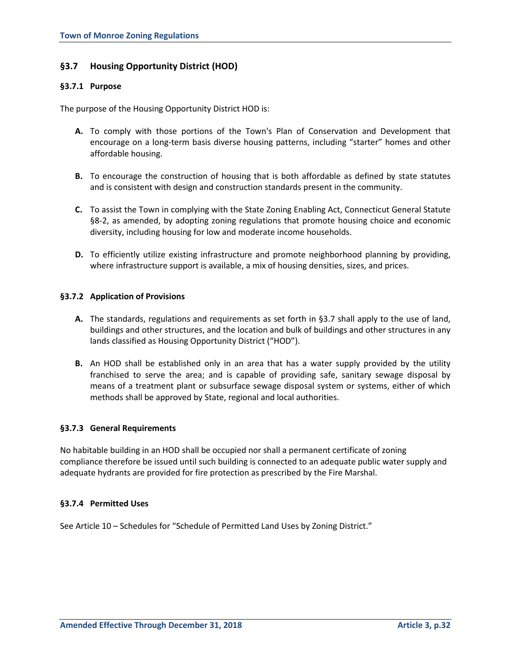# **§3.7 Housing Opportunity District (HOD)**

## **§3.7.1 Purpose**

The purpose of the Housing Opportunity District HOD is:

- **A.** To comply with those portions of the Town's Plan of Conservation and Development that encourage on a long-term basis diverse housing patterns, including "starter" homes and other affordable housing.
- **B.** To encourage the construction of housing that is both affordable as defined by state statutes and is consistent with design and construction standards present in the community.
- **C.** To assist the Town in complying with the State Zoning Enabling Act, Connecticut General Statute §8-2, as amended, by adopting zoning regulations that promote housing choice and economic diversity, including housing for low and moderate income households.
- **D.** To efficiently utilize existing infrastructure and promote neighborhood planning by providing, where infrastructure support is available, a mix of housing densities, sizes, and prices.

## **§3.7.2 Application of Provisions**

- **A.** The standards, regulations and requirements as set forth in §3.7 shall apply to the use of land, buildings and other structures, and the location and bulk of buildings and other structures in any lands classified as Housing Opportunity District ("HOD").
- **B.** An HOD shall be established only in an area that has a water supply provided by the utility franchised to serve the area; and is capable of providing safe, sanitary sewage disposal by means of a treatment plant or subsurface sewage disposal system or systems, either of which methods shall be approved by State, regional and local authorities.

## **§3.7.3 General Requirements**

No habitable building in an HOD shall be occupied nor shall a permanent certificate of zoning compliance therefore be issued until such building is connected to an adequate public water supply and adequate hydrants are provided for fire protection as prescribed by the Fire Marshal.

#### **§3.7.4 Permitted Uses**

See Article 10 – Schedules for "Schedule of Permitted Land Uses by Zoning District."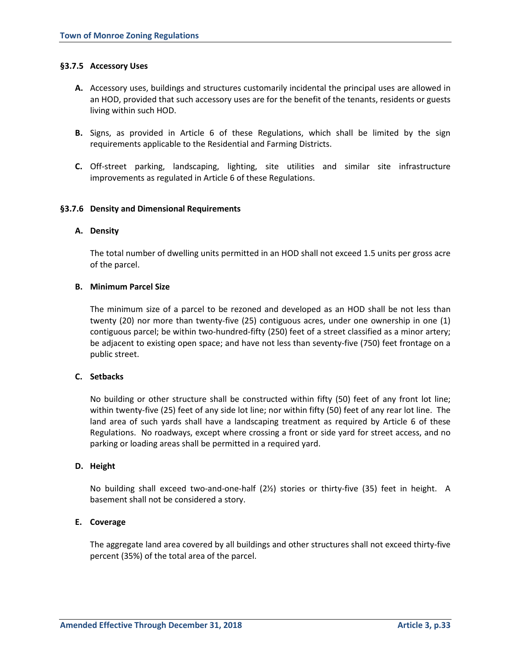## **§3.7.5 Accessory Uses**

- **A.** Accessory uses, buildings and structures customarily incidental the principal uses are allowed in an HOD, provided that such accessory uses are for the benefit of the tenants, residents or guests living within such HOD.
- **B.** Signs, as provided in Article 6 of these Regulations, which shall be limited by the sign requirements applicable to the Residential and Farming Districts.
- **C.** Off-street parking, landscaping, lighting, site utilities and similar site infrastructure improvements as regulated in Article 6 of these Regulations.

## **§3.7.6 Density and Dimensional Requirements**

#### **A. Density**

The total number of dwelling units permitted in an HOD shall not exceed 1.5 units per gross acre of the parcel.

## **B. Minimum Parcel Size**

The minimum size of a parcel to be rezoned and developed as an HOD shall be not less than twenty (20) nor more than twenty-five (25) contiguous acres, under one ownership in one (1) contiguous parcel; be within two-hundred-fifty (250) feet of a street classified as a minor artery; be adjacent to existing open space; and have not less than seventy-five (750) feet frontage on a public street.

## **C. Setbacks**

No building or other structure shall be constructed within fifty (50) feet of any front lot line; within twenty-five (25) feet of any side lot line; nor within fifty (50) feet of any rear lot line. The land area of such yards shall have a landscaping treatment as required by Article 6 of these Regulations. No roadways, except where crossing a front or side yard for street access, and no parking or loading areas shall be permitted in a required yard.

#### **D. Height**

No building shall exceed two-and-one-half (2½) stories or thirty-five (35) feet in height. A basement shall not be considered a story.

## **E. Coverage**

The aggregate land area covered by all buildings and other structures shall not exceed thirty-five percent (35%) of the total area of the parcel.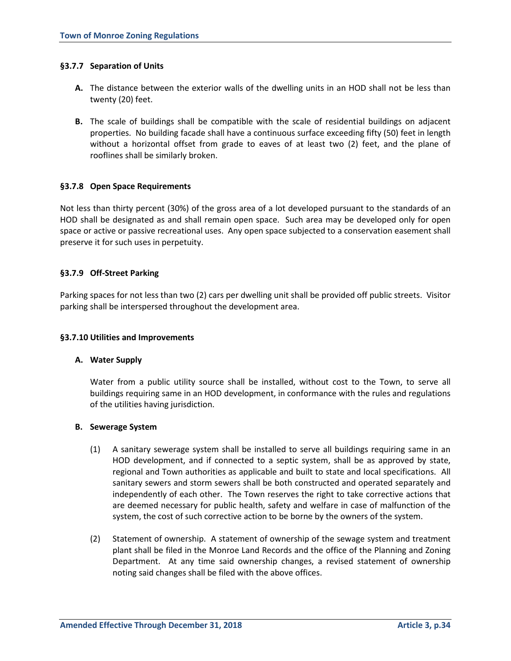## **§3.7.7 Separation of Units**

- **A.** The distance between the exterior walls of the dwelling units in an HOD shall not be less than twenty (20) feet.
- **B.** The scale of buildings shall be compatible with the scale of residential buildings on adjacent properties. No building facade shall have a continuous surface exceeding fifty (50) feet in length without a horizontal offset from grade to eaves of at least two (2) feet, and the plane of rooflines shall be similarly broken.

## **§3.7.8 Open Space Requirements**

Not less than thirty percent (30%) of the gross area of a lot developed pursuant to the standards of an HOD shall be designated as and shall remain open space. Such area may be developed only for open space or active or passive recreational uses. Any open space subjected to a conservation easement shall preserve it for such uses in perpetuity.

## **§3.7.9 Off-Street Parking**

Parking spaces for not less than two (2) cars per dwelling unit shall be provided off public streets. Visitor parking shall be interspersed throughout the development area.

#### **§3.7.10 Utilities and Improvements**

#### **A. Water Supply**

Water from a public utility source shall be installed, without cost to the Town, to serve all buildings requiring same in an HOD development, in conformance with the rules and regulations of the utilities having jurisdiction.

#### **B. Sewerage System**

- (1) A sanitary sewerage system shall be installed to serve all buildings requiring same in an HOD development, and if connected to a septic system, shall be as approved by state, regional and Town authorities as applicable and built to state and local specifications. All sanitary sewers and storm sewers shall be both constructed and operated separately and independently of each other. The Town reserves the right to take corrective actions that are deemed necessary for public health, safety and welfare in case of malfunction of the system, the cost of such corrective action to be borne by the owners of the system.
- (2) Statement of ownership. A statement of ownership of the sewage system and treatment plant shall be filed in the Monroe Land Records and the office of the Planning and Zoning Department. At any time said ownership changes, a revised statement of ownership noting said changes shall be filed with the above offices.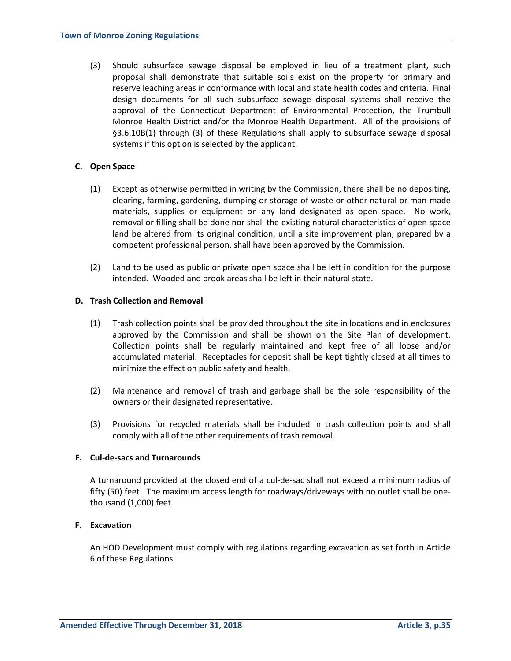(3) Should subsurface sewage disposal be employed in lieu of a treatment plant, such proposal shall demonstrate that suitable soils exist on the property for primary and reserve leaching areas in conformance with local and state health codes and criteria. Final design documents for all such subsurface sewage disposal systems shall receive the approval of the Connecticut Department of Environmental Protection, the Trumbull Monroe Health District and/or the Monroe Health Department. All of the provisions of §3.6.10B(1) through (3) of these Regulations shall apply to subsurface sewage disposal systems if this option is selected by the applicant.

## **C. Open Space**

- (1) Except as otherwise permitted in writing by the Commission, there shall be no depositing, clearing, farming, gardening, dumping or storage of waste or other natural or man-made materials, supplies or equipment on any land designated as open space. No work, removal or filling shall be done nor shall the existing natural characteristics of open space land be altered from its original condition, until a site improvement plan, prepared by a competent professional person, shall have been approved by the Commission.
- (2) Land to be used as public or private open space shall be left in condition for the purpose intended. Wooded and brook areas shall be left in their natural state.

## **D. Trash Collection and Removal**

- (1) Trash collection points shall be provided throughout the site in locations and in enclosures approved by the Commission and shall be shown on the Site Plan of development. Collection points shall be regularly maintained and kept free of all loose and/or accumulated material. Receptacles for deposit shall be kept tightly closed at all times to minimize the effect on public safety and health.
- (2) Maintenance and removal of trash and garbage shall be the sole responsibility of the owners or their designated representative.
- (3) Provisions for recycled materials shall be included in trash collection points and shall comply with all of the other requirements of trash removal.

#### **E. Cul-de-sacs and Turnarounds**

A turnaround provided at the closed end of a cul-de-sac shall not exceed a minimum radius of fifty (50) feet. The maximum access length for roadways/driveways with no outlet shall be onethousand (1,000) feet.

#### **F. Excavation**

An HOD Development must comply with regulations regarding excavation as set forth in Article 6 of these Regulations.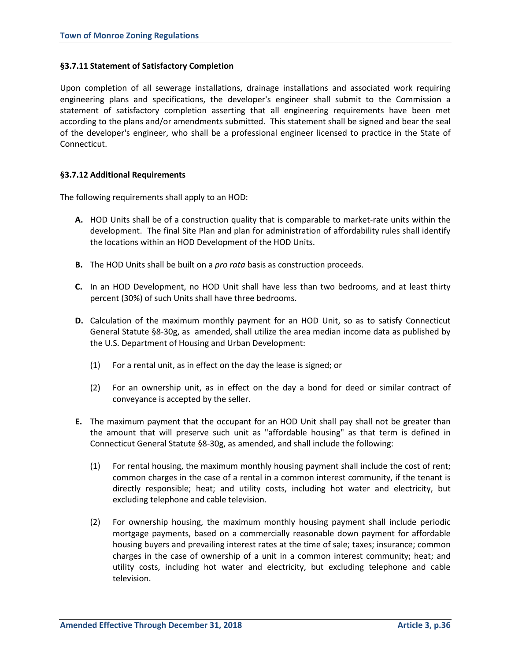## **§3.7.11 Statement of Satisfactory Completion**

Upon completion of all sewerage installations, drainage installations and associated work requiring engineering plans and specifications, the developer's engineer shall submit to the Commission a statement of satisfactory completion asserting that all engineering requirements have been met according to the plans and/or amendments submitted. This statement shall be signed and bear the seal of the developer's engineer, who shall be a professional engineer licensed to practice in the State of Connecticut.

## **§3.7.12 Additional Requirements**

The following requirements shall apply to an HOD:

- **A.** HOD Units shall be of a construction quality that is comparable to market-rate units within the development. The final Site Plan and plan for administration of affordability rules shall identify the locations within an HOD Development of the HOD Units.
- **B.** The HOD Units shall be built on a *pro rata* basis as construction proceeds.
- **C.** In an HOD Development, no HOD Unit shall have less than two bedrooms, and at least thirty percent (30%) of such Units shall have three bedrooms.
- **D.** Calculation of the maximum monthly payment for an HOD Unit, so as to satisfy Connecticut General Statute §8-30g, as amended, shall utilize the area median income data as published by the U.S. Department of Housing and Urban Development:
	- (1) For a rental unit, as in effect on the day the lease is signed; or
	- (2) For an ownership unit, as in effect on the day a bond for deed or similar contract of conveyance is accepted by the seller.
- **E.** The maximum payment that the occupant for an HOD Unit shall pay shall not be greater than the amount that will preserve such unit as "affordable housing" as that term is defined in Connecticut General Statute §8-30g, as amended, and shall include the following:
	- (1) For rental housing, the maximum monthly housing payment shall include the cost of rent; common charges in the case of a rental in a common interest community, if the tenant is directly responsible; heat; and utility costs, including hot water and electricity, but excluding telephone and cable television.
	- (2) For ownership housing, the maximum monthly housing payment shall include periodic mortgage payments, based on a commercially reasonable down payment for affordable housing buyers and prevailing interest rates at the time of sale; taxes; insurance; common charges in the case of ownership of a unit in a common interest community; heat; and utility costs, including hot water and electricity, but excluding telephone and cable television.